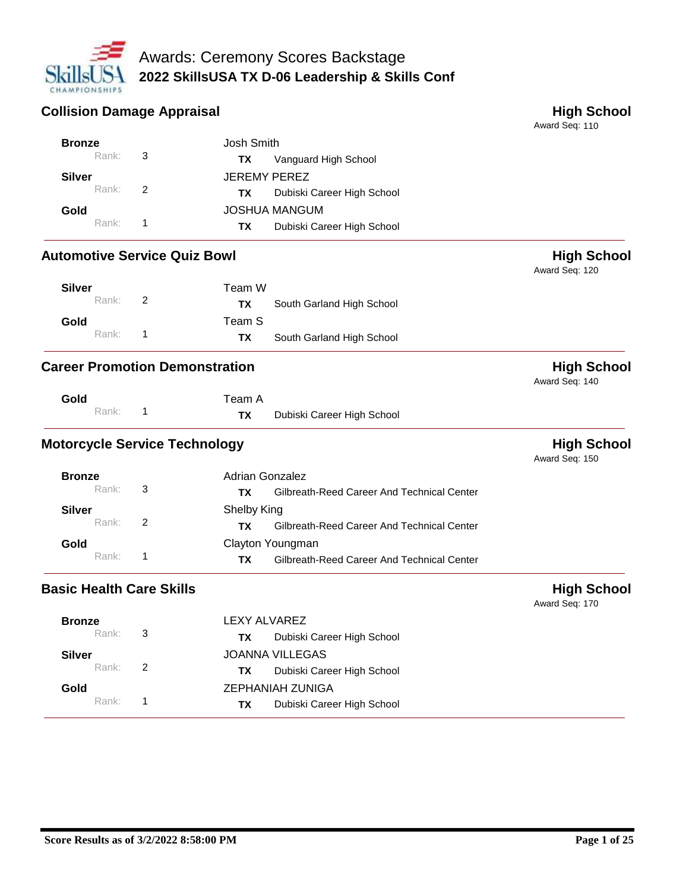

#### **Collision Damage Appraisal Collision Damage Appraisal** Josh Smith **Bronze**

Award Seq: 110

| <b>Automotive Service Quiz Bowl</b> |                |               |                            | <b>High School</b><br>Award Seq: 120 |
|-------------------------------------|----------------|---------------|----------------------------|--------------------------------------|
| Rank:                               | 1              | ТX            | Dubiski Career High School |                                      |
| Gold                                |                |               | <b>JOSHUA MANGUM</b>       |                                      |
| Rank:                               | $\overline{2}$ | TX.           | Dubiski Career High School |                                      |
| <b>Silver</b>                       |                |               | <b>JEREMY PEREZ</b>        |                                      |
| Rank:                               | 3              | ТX            | Vanguard High School       |                                      |
| <b>DIUILE</b>                       |                | JUSII OIIIIII |                            |                                      |

| <b>Silver</b> | Team W                           |  |
|---------------|----------------------------------|--|
| Rank: 2       | South Garland High School<br>TX. |  |
| Gold          | Team S                           |  |
| Rank: 1       | South Garland High School<br>TX. |  |

### **Career Promotion Demonstration High School**

| Gold |         | Team |  |
|------|---------|------|--|
|      | Rank: 1 | ΤХ   |  |

Team A Dubiski Career High School

# **Motorcycle Service Technology Motorcycle Service Technology High School**

Award Seq: 150

Award Seq: 140

| <b>Bronze</b>     |               | Adrian Gonzalez                                  |  |
|-------------------|---------------|--------------------------------------------------|--|
| Rank: 3           |               | Gilbreath-Reed Career And Technical Center<br>ΤХ |  |
| Silver            |               | Shelby King                                      |  |
| Rank:             | $\mathcal{P}$ | Gilbreath-Reed Career And Technical Center<br>ΤХ |  |
| Gold              |               | Clayton Youngman                                 |  |
| Rank <sup>.</sup> |               | Gilbreath-Reed Career And Technical Center<br>ΤХ |  |

# **Basic Health Care Skills High School**

| <b>Bronze</b> |                          | LEXY ALVAREZ                            |  |  |
|---------------|--------------------------|-----------------------------------------|--|--|
| Rank: 3       |                          | Dubiski Career High School<br><b>TX</b> |  |  |
| <b>Silver</b> |                          | <b>JOANNA VILLEGAS</b>                  |  |  |
| Rank: 2       |                          | Dubiski Career High School<br>TХ        |  |  |
| Gold          |                          | ZEPHANIAH ZUNIGA                        |  |  |
| Rank:         | $\overline{\phantom{1}}$ | Dubiski Career High School<br>ТX        |  |  |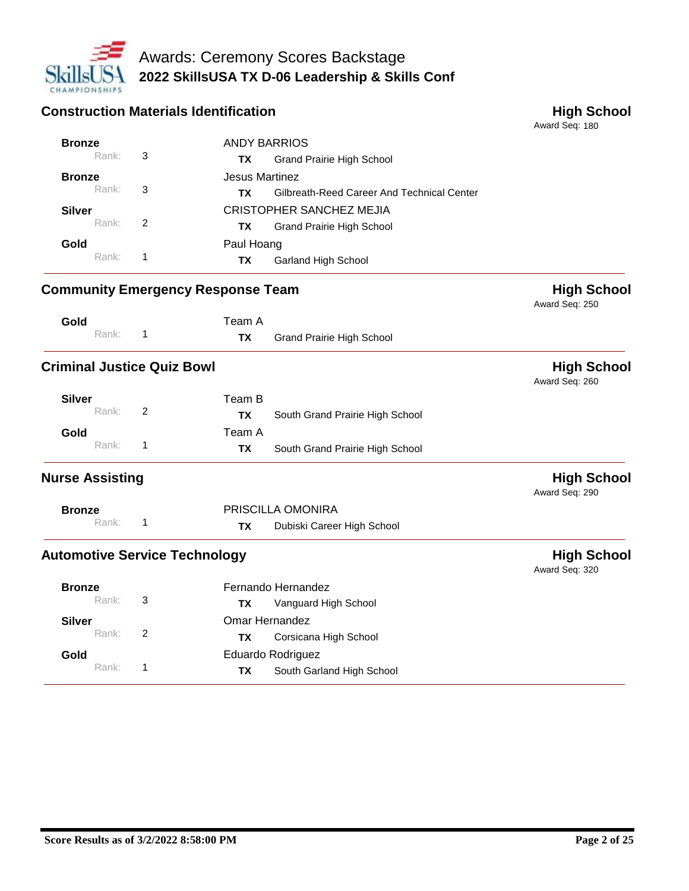

#### **Construction Materials Identification High School**

Award Seq: 180 ANDY BARRIOS Grand Prairie High School **Bronze**<br>Rank: **TX** Rank: 3 Jesus Martinez Gilbreath-Reed Career And Technical Center **Bronze**<br>Rank: **TX** Rank: 3 CRISTOPHER SANCHEZ MEJIA Grand Prairie High School **Silver TX** Rank: 2 Paul Hoang Garland High School **Gold TX** Rank: 1

### **Community Emergency Response Team High School**

# Award Seq: 250

Award Seq: 260

Award Seq: 290

Award Seq: 320

| Gold  | Team A |                                  |
|-------|--------|----------------------------------|
| Rank: | TX     | <b>Grand Prairie High School</b> |

## **Criminal Justice Quiz Bowl All and School High School High School**

| Silver |       |                         | Team B    |                                 |
|--------|-------|-------------------------|-----------|---------------------------------|
|        | Rank: | $\overline{2}$          | TХ        | South Grand Prairie High School |
| Gold   |       |                         | Team A    |                                 |
|        | Rank: | $\overline{\mathbf{1}}$ | <b>TX</b> | South Grand Prairie High School |

# **Nurse Assisting High School**

| <b>Bronze</b> |  | PRISCILLA OMONIRA          |
|---------------|--|----------------------------|
| Rank:         |  | Dubiski Career High School |

### Automotive Service Technology **Automotive Service Technology High School**

| <b>Bronze</b><br>Rank: | 3  | Fernando Hernandez<br>Vanguard High School<br>TX     |  |
|------------------------|----|------------------------------------------------------|--|
| <b>Silver</b><br>Rank: | -2 | Omar Hernandez<br>Corsicana High School<br>ΤХ        |  |
| Gold<br>Rank:          |    | Eduardo Rodriguez<br>South Garland High School<br>ТΧ |  |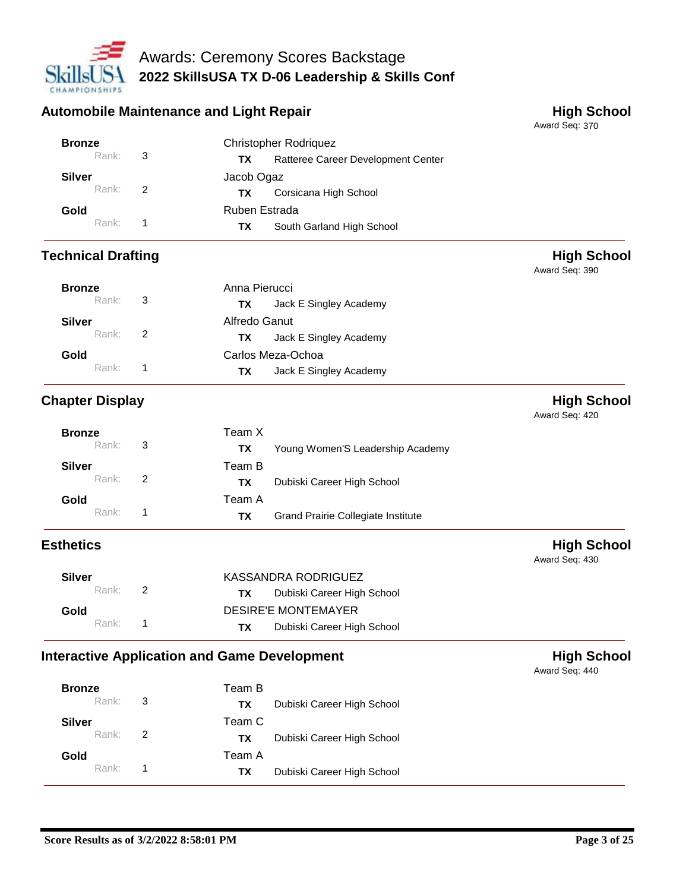

#### Automobile Maintenance and Light Repair **Automobile Maintenance and Light Repair**

Award Seq: 370

Award Seq: 390

| <b>Bronze</b> |                            | <b>Christopher Rodriguez</b>             |  |  |
|---------------|----------------------------|------------------------------------------|--|--|
| Rank:         | $\overline{\phantom{a}}$ 3 | Ratteree Career Development Center<br>ТX |  |  |
| <b>Silver</b> |                            | Jacob Ogaz                               |  |  |
| Rank:         | 2                          | Corsicana High School<br>ТX.             |  |  |
| Gold          |                            | Ruben Estrada                            |  |  |
| Rank:         |                            | South Garland High School<br>TХ          |  |  |

## **Technical Drafting High School**

| <b>Bronze</b><br>Rank:<br>3 |                | Anna Pierucci                 |  |
|-----------------------------|----------------|-------------------------------|--|
|                             |                | Jack E Singley Academy<br>ΤХ  |  |
| <b>Silver</b>               |                | Alfredo Ganut                 |  |
| Rank:                       | $\overline{2}$ | Jack E Singley Academy<br>TX. |  |
| Gold                        |                | Carlos Meza-Ochoa             |  |
| Rank:                       |                | Jack E Singley Academy<br>ΤХ  |  |

# **Chapter Display High School**

Award Seq: 420

| <b>Bronze</b> |                | Team X |                                    |
|---------------|----------------|--------|------------------------------------|
| Rank: 3       |                | ΤХ     | Young Women'S Leadership Academy   |
| Silver        |                | Team B |                                    |
| Rank: 2       |                | TX.    | Dubiski Career High School         |
| Gold          |                | Team A |                                    |
| Rank:         | $\blacksquare$ | ΤХ     | Grand Prairie Collegiate Institute |

# **Esthetics High School**

| <b>Silver</b> | KASSANDRA RODRIGUEZ                     |  |  |
|---------------|-----------------------------------------|--|--|
| Rank: 2       | Dubiski Career High School<br>TX T      |  |  |
| Gold          | <b>DESIRE'E MONTEMAYER</b>              |  |  |
| Rank: 1       | Dubiski Career High School<br><b>TX</b> |  |  |

# **Interactive Application and Game Development High School**

| <b>Bronze</b><br>Rank: 3 |   | Team B<br>TX. | Dubiski Career High School |
|--------------------------|---|---------------|----------------------------|
| <b>Silver</b><br>Rank:   | 2 | Team C<br>TX. | Dubiski Career High School |
| Gold<br>Rank:            |   | Team A<br>TX. | Dubiski Career High School |

Award Seq: 440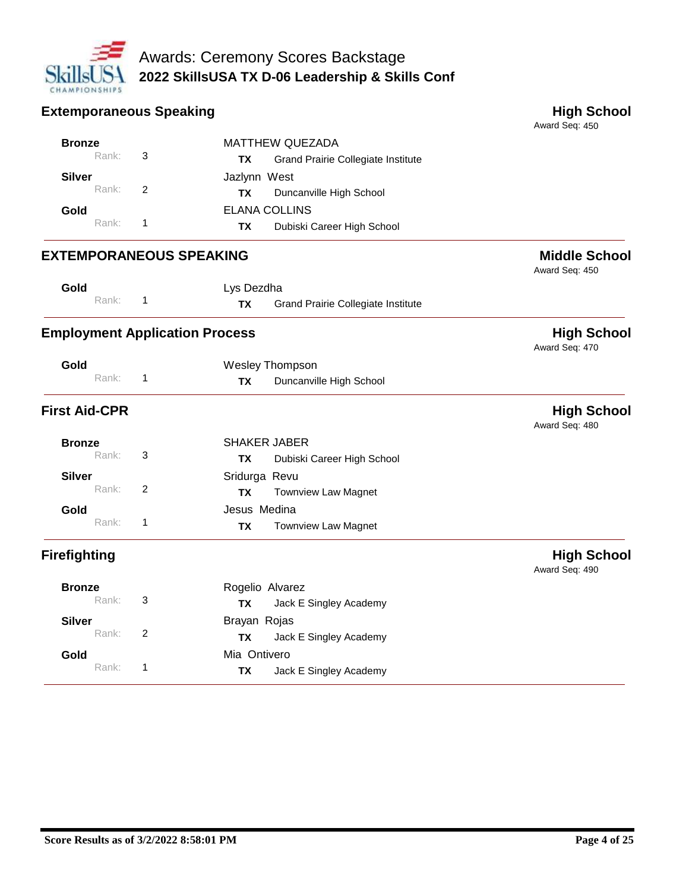

| <b>Extemporaneous Speaking</b> |       |              |                                       |                                    | <b>High School</b><br>Award Seq: 450   |
|--------------------------------|-------|--------------|---------------------------------------|------------------------------------|----------------------------------------|
| <b>Bronze</b>                  |       |              |                                       | <b>MATTHEW QUEZADA</b>             |                                        |
|                                | Rank: | 3            | ТX                                    | Grand Prairie Collegiate Institute |                                        |
| <b>Silver</b>                  |       |              | Jazlynn West                          |                                    |                                        |
|                                | Rank: | 2            | <b>TX</b>                             | Duncanville High School            |                                        |
| Gold                           |       |              | <b>ELANA COLLINS</b>                  |                                    |                                        |
|                                | Rank: | 1            | <b>TX</b>                             | Dubiski Career High School         |                                        |
|                                |       |              | <b>EXTEMPORANEOUS SPEAKING</b>        |                                    | <b>Middle School</b><br>Award Seq: 450 |
| Gold                           |       |              | Lys Dezdha                            |                                    |                                        |
|                                | Rank: | 1            | <b>TX</b>                             | Grand Prairie Collegiate Institute |                                        |
|                                |       |              | <b>Employment Application Process</b> |                                    | <b>High School</b><br>Award Seq: 470   |
| Gold                           |       |              |                                       | <b>Wesley Thompson</b>             |                                        |
|                                | Rank: | $\mathbf{1}$ | <b>TX</b>                             | Duncanville High School            |                                        |
| <b>First Aid-CPR</b>           |       |              |                                       |                                    | <b>High School</b><br>Award Seq: 480   |
| <b>Bronze</b>                  |       |              | <b>SHAKER JABER</b>                   |                                    |                                        |
|                                | Rank: | 3            | <b>TX</b>                             | Dubiski Career High School         |                                        |
| <b>Silver</b>                  |       |              | Sridurga Revu                         |                                    |                                        |
|                                | Rank: | 2            | <b>TX</b>                             | <b>Townview Law Magnet</b>         |                                        |
| Gold                           |       |              | Jesus Medina                          |                                    |                                        |
|                                | Rank: | 1            | TX                                    | <b>Townview Law Magnet</b>         |                                        |
| <b>Firefighting</b>            |       |              |                                       |                                    | <b>High School</b><br>Award Seq: 490   |
| <b>Bronze</b>                  |       |              | Rogelio Alvarez                       |                                    |                                        |
|                                | Rank: | 3            | <b>TX</b>                             | Jack E Singley Academy             |                                        |
| <b>Silver</b>                  |       |              | Brayan Rojas                          |                                    |                                        |
|                                | Rank: | 2            | TX                                    | Jack E Singley Academy             |                                        |
| Gold                           |       |              | Mia Ontivero                          |                                    |                                        |
|                                | Rank: | 1            | <b>TX</b>                             | Jack E Singley Academy             |                                        |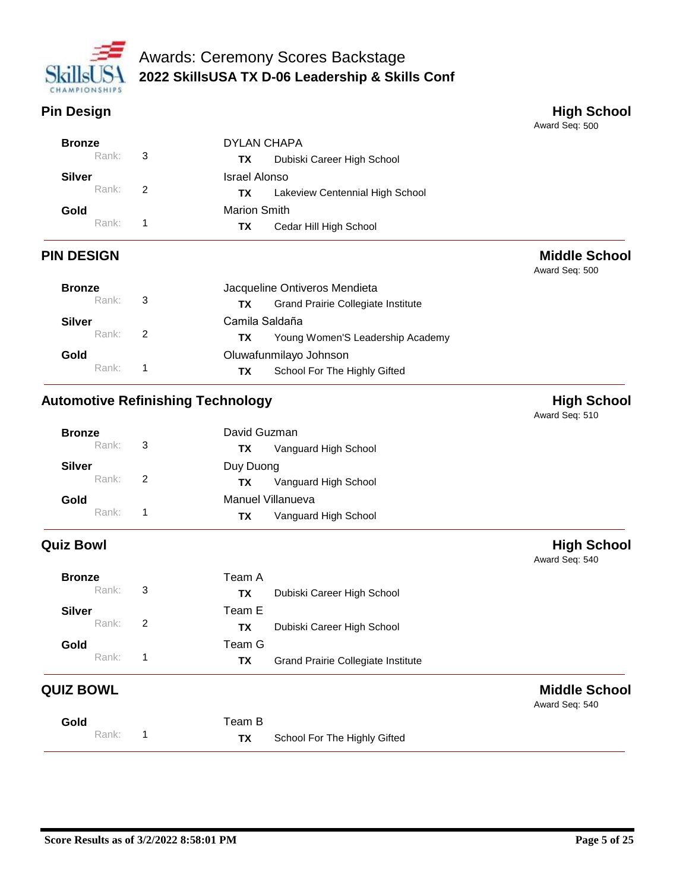

**Pin Design Contract Contract Contract Contract Contract Contract Contract Contract Contract Contract Contract Contract Contract Contract Contract Contract Contract Contract Contract Contract Contract Contract Contract Con** 

Award Seq: 500

Award Seq: 500

Award Seq: 540

Award Seq: 540

| <b>Bronze</b> |               | DYLAN CHAPA                           |  |  |
|---------------|---------------|---------------------------------------|--|--|
| Rank:         | 3             | Dubiski Career High School<br>TХ      |  |  |
| <b>Silver</b> |               | Israel Alonso                         |  |  |
| Rank:         | $\mathcal{P}$ | Lakeview Centennial High School<br>ТХ |  |  |
| Gold          |               | <b>Marion Smith</b>                   |  |  |
| Rank:         |               | Cedar Hill High School<br>TX          |  |  |

# **PIN DESIGN Middle School**

| <b>Bronze</b>     |   | Jacqueline Ontiveros Mendieta |                                           |  |
|-------------------|---|-------------------------------|-------------------------------------------|--|
| Rank: 3           |   | TX.                           | <b>Grand Prairie Collegiate Institute</b> |  |
| <b>Silver</b>     |   | Camila Saldaña                |                                           |  |
| Rank:             | 2 | ТX.                           | Young Women'S Leadership Academy          |  |
| Gold              |   | Oluwafunmilayo Johnson        |                                           |  |
| Rank <sup>.</sup> |   | TX.                           | School For The Highly Gifted              |  |

# **Automotive Refinishing Technology Matter of the China Burger School High School**

Award Seq: 510 David Guzman Vanguard High School **Bronze**<br>Rank: **TX** Rank: 3 Duy Duong Vanguard High School **Silver TX** Rank: 2 Manuel Villanueva Vanguard High School **Gold TX** Rank: 1

# **Quiz Bowl High School**

| <b>Bronze</b><br>Rank: | 3             | Team A<br><b>TX</b><br>Dubiski Career High School         |
|------------------------|---------------|-----------------------------------------------------------|
| <b>Silver</b><br>Rank: | $\mathcal{P}$ | Team E<br>Dubiski Career High School<br><b>TX</b>         |
| Gold<br>Rank:          |               | Team G<br><b>Grand Prairie Collegiate Institute</b><br>ΤХ |

# **QUIZ BOWL Middle School**

| Gold  | Team B    |                              |  |
|-------|-----------|------------------------------|--|
| Rank: | <b>TX</b> | School For The Highly Gifted |  |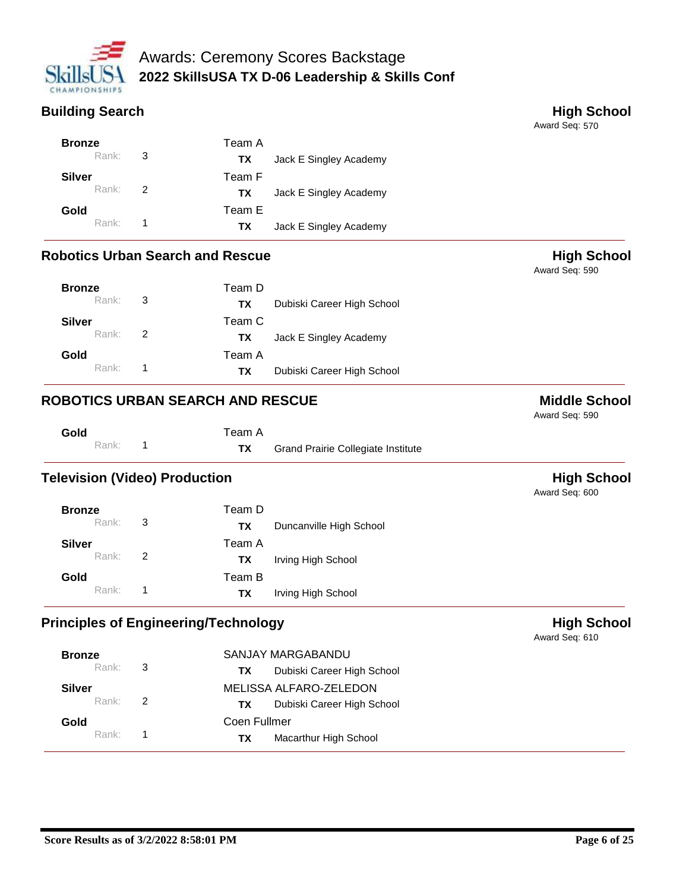

# **Building Search High School**

Award Seq: 570

Award Seq: 590

| <b>Bronze</b> |                          | Team A |                        |
|---------------|--------------------------|--------|------------------------|
| Rank: 3       |                          | TX.    | Jack E Singley Academy |
| Silver        |                          | Team F |                        |
| Rank:         | $\overline{\phantom{a}}$ | TX.    | Jack E Singley Academy |
| Gold          |                          | Team E |                        |
| Rank: 1       |                          | TX.    | Jack E Singley Academy |

### **Robotics Urban Search and Rescue High School High School**

| <b>Bronze</b><br>Rank: 3  |    | Team D<br>Dubiski Career High School<br>TX. |  |
|---------------------------|----|---------------------------------------------|--|
| Silver<br>Rank: 2         |    | Team C<br>Jack E Singley Academy<br>TX.     |  |
| Gold<br>Rank <sup>+</sup> | -1 | Team A<br>Dubiski Career High School<br>TX. |  |

## **ROBOTICS URBAN SEARCH AND RESCUE AND RESOUL SEXUAL ROBOTICS URBAN SEARCH AND RESCUE**

Award Seq: 590

| Gold |         | Team A |                                           |
|------|---------|--------|-------------------------------------------|
|      | Rank: 1 |        | <b>Grand Prairie Collegiate Institute</b> |

### **Television (Video) Production High School**

Award Seq: 600

|    | Team D    |                         |
|----|-----------|-------------------------|
| -3 | <b>TX</b> | Duncanville High School |
|    | Team A    |                         |
| 2  | ТX        | Irving High School      |
|    | Team B    |                         |
|    | ΤХ        | Irving High School      |
|    |           |                         |

### **Principles of Engineering/Technology High School**

| <b>Bronze</b> |                          | SANJAY MARGABANDU                 |  |
|---------------|--------------------------|-----------------------------------|--|
| Rank:         | $\overline{\mathbf{3}}$  | Dubiski Career High School<br>ТX  |  |
| <b>Silver</b> |                          | MELISSA ALFARO-ZELEDON            |  |
| Rank:         | $\overline{2}$           | Dubiski Career High School<br>TX. |  |
| Gold          |                          | Coen Fullmer                      |  |
| Rank:         | $\overline{\phantom{1}}$ | Macarthur High School<br>TX       |  |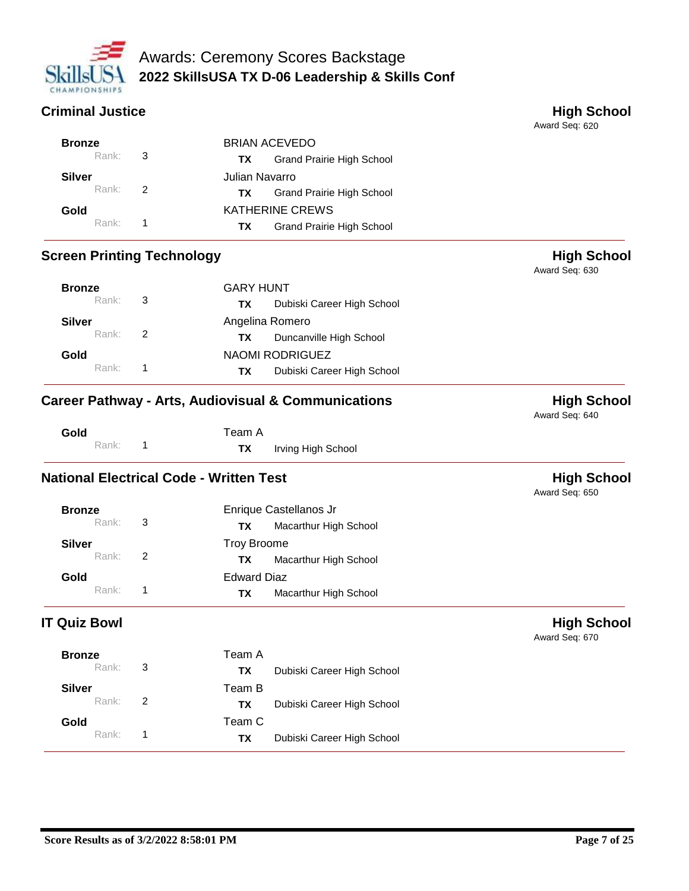

## **Criminal Justice High School**

Award Seq: 620

Award Seq: 630

Award Seq: 640

Award Seq: 650

| <b>Bronze</b>      |                | <b>BRIAN ACEVEDO</b>                    |  |  |
|--------------------|----------------|-----------------------------------------|--|--|
| Rank: $\mathbf{3}$ |                | Grand Prairie High School<br>TX.        |  |  |
| Silver             | Julian Navarro |                                         |  |  |
| Rank: 2            |                | <b>Grand Prairie High School</b><br>TX. |  |  |
| Gold               |                | <b>KATHERINE CREWS</b>                  |  |  |
| $Rank:$ 1          |                | Grand Prairie High School<br>TX.        |  |  |

# **Screen Printing Technology All and Screen Printing Technology High School**

| <b>Bronze</b>     | <b>GARY HUNT</b> |                                   |  |
|-------------------|------------------|-----------------------------------|--|
| $Rank:$ 3         |                  | Dubiski Career High School<br>TX. |  |
| Silver            |                  | Angelina Romero                   |  |
| Rank: 2           |                  | Duncanville High School<br>TX.    |  |
| Gold              |                  | NAOMI RODRIGUEZ                   |  |
| Rank <sup>+</sup> |                  | Dubiski Career High School<br>TX. |  |

## **Career Pathway - Arts, Audiovisual & Communications <b>High School**

| Gold |       | Team A    |                    |
|------|-------|-----------|--------------------|
|      | Rank: | <b>TX</b> | Irving High School |

# **National Electrical Code - Written Test High School High School**

| <b>Bronze</b>        | Enrique Castellanos Jr       |
|----------------------|------------------------------|
| Rank: 3              | Macarthur High School<br>ТX. |
| <b>Silver</b>        | Troy Broome                  |
| Rank: $\overline{2}$ | Macarthur High School<br>TX. |
| Gold                 | <b>Edward Diaz</b>           |
| Rank <sup>.</sup>    | Macarthur High School<br>TХ  |

# **IT Quiz Bowl High School**

| <b>Bronze</b> |   | Team A |                            |
|---------------|---|--------|----------------------------|
| Rank:         | 3 | TX     | Dubiski Career High School |
| <b>Silver</b> |   | Team B |                            |
| Rank:         | 2 | ΤХ     | Dubiski Career High School |
| Gold          |   | Team C |                            |
| Rank:         |   | TX     | Dubiski Career High School |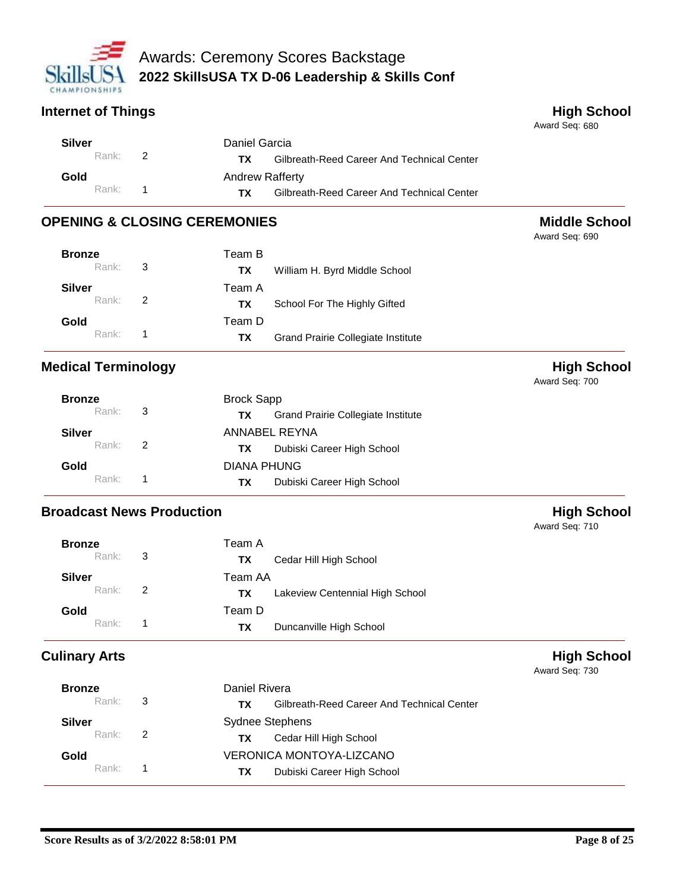

## **Internet of Things High School**

Award Seq: 680

Award Seq: 690

| Silver  | Daniel Garcia |                                                   |
|---------|---------------|---------------------------------------------------|
| Rank: 2 |               | Gilbreath-Reed Career And Technical Center<br>TX. |
| Gold    |               | <b>Andrew Rafferty</b>                            |
| Rank: 1 |               | Gilbreath-Reed Career And Technical Center<br>TX. |

# **OPENING & CLOSING CEREMONIES Middle School**

| <b>Bronze</b><br>Rank: $\sqrt{3}$ |                          | Team B<br>William H. Byrd Middle School<br>TX.      |
|-----------------------------------|--------------------------|-----------------------------------------------------|
| Silver<br>Rank: 2                 |                          | Team A<br>School For The Highly Gifted<br>TX.       |
| Gold<br>Rank <sup>+</sup>         | $\overline{\phantom{1}}$ | Team D<br>Grand Prairie Collegiate Institute<br>TX. |

# **Medical Terminology Contract of the Contract of the Contract of the Contract of the Contract of the Contract of the Contract of the Contract of the Contract of the Contract of the Contract of the Contract of the Contrac**

Award Seq: 700

|                    | <b>Brock Sapp</b>                                |  |  |
|--------------------|--------------------------------------------------|--|--|
| Rank: $\mathbf{3}$ | <b>Grand Prairie Collegiate Institute</b><br>TX. |  |  |
|                    | ANNABEL REYNA                                    |  |  |
| Rank: 2            | Dubiski Career High School<br>TX .               |  |  |
|                    | DIANA PHUNG                                      |  |  |
| $Rank:$ 1          | Dubiski Career High School<br>TX I               |  |  |
|                    |                                                  |  |  |

# **Broadcast News Production All and School High School**

Award Seq: 730

|               |    |         |                                 | Award Seq: 710 |
|---------------|----|---------|---------------------------------|----------------|
| <b>Bronze</b> |    | Team A  |                                 |                |
| Rank: 3       |    | ΤХ      | Cedar Hill High School          |                |
| <b>Silver</b> |    | Team AA |                                 |                |
| Rank: 2       |    | TХ      | Lakeview Centennial High School |                |
| Gold          |    | Team D  |                                 |                |
| Rank:         | 1. | TХ      | Duncanville High School         |                |

# **Culinary Arts Culinary Arts High School**

| <b>Bronze</b>     |                            | Daniel Rivera                                    |
|-------------------|----------------------------|--------------------------------------------------|
| Rank:             | $\overline{\phantom{a}}$ 3 | Gilbreath-Reed Career And Technical Center<br>тх |
| <b>Silver</b>     |                            | <b>Sydnee Stephens</b>                           |
| $Rank:$ 2         |                            | Cedar Hill High School<br>ΤХ                     |
| Gold              |                            | VERONICA MONTOYA-LIZCANO                         |
| Rank <sup>.</sup> | 1                          | Dubiski Career High School<br>TX.                |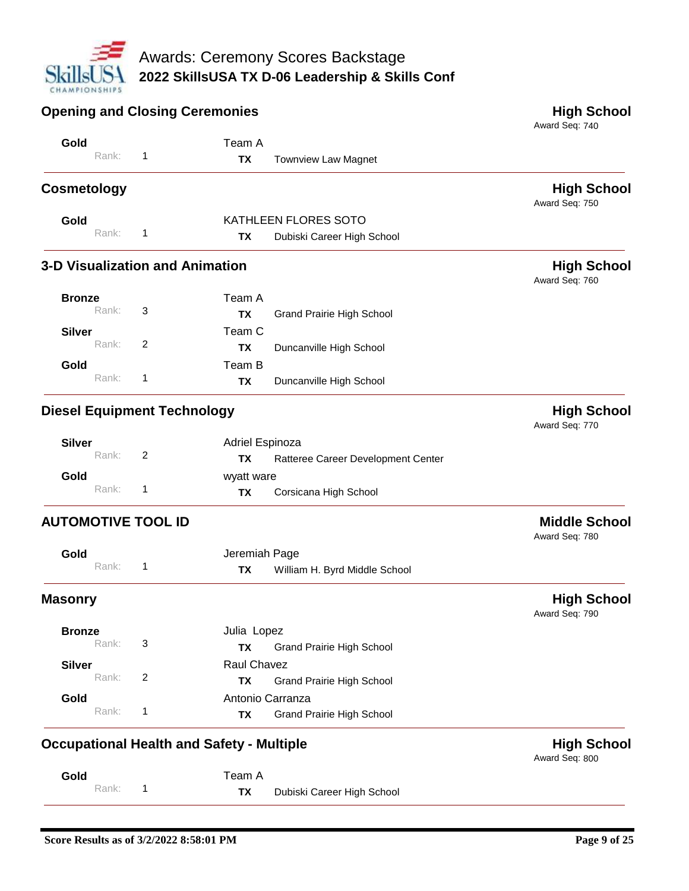

| <b>Opening and Closing Ceremonies</b>            |   |                  |                                    | <b>High School</b><br>Award Seq: 740   |
|--------------------------------------------------|---|------------------|------------------------------------|----------------------------------------|
| Gold                                             |   | Team A           |                                    |                                        |
| Rank:                                            | 1 | <b>TX</b>        | <b>Townview Law Magnet</b>         |                                        |
| <b>Cosmetology</b>                               |   |                  |                                    | <b>High School</b><br>Award Seq: 750   |
| Gold                                             |   |                  | KATHLEEN FLORES SOTO               |                                        |
| Rank:                                            | 1 | <b>TX</b>        | Dubiski Career High School         |                                        |
| <b>3-D Visualization and Animation</b>           |   |                  |                                    | <b>High School</b><br>Award Seq: 760   |
| <b>Bronze</b>                                    |   | Team A           |                                    |                                        |
| Rank:                                            | 3 | ТX               | Grand Prairie High School          |                                        |
| <b>Silver</b>                                    |   | Team C           |                                    |                                        |
| Rank:                                            | 2 | <b>TX</b>        | Duncanville High School            |                                        |
| Gold                                             |   | Team B           |                                    |                                        |
| Rank:                                            | 1 | <b>TX</b>        | Duncanville High School            |                                        |
| <b>Diesel Equipment Technology</b>               |   |                  |                                    | <b>High School</b><br>Award Seq: 770   |
| <b>Silver</b>                                    |   | Adriel Espinoza  |                                    |                                        |
| Rank:                                            | 2 | <b>TX</b>        | Ratteree Career Development Center |                                        |
| Gold                                             |   | wyatt ware       |                                    |                                        |
| Rank:                                            | 1 | <b>TX</b>        | Corsicana High School              |                                        |
| <b>AUTOMOTIVE TOOL ID</b>                        |   |                  |                                    | <b>Middle School</b><br>Award Seq: 780 |
| Gold                                             |   | Jeremiah Page    |                                    |                                        |
| Rank:                                            | 1 | <b>TX</b>        | William H. Byrd Middle School      |                                        |
| masonry                                          |   |                  |                                    | <b>High School</b><br>Award Seq: 790   |
| <b>Bronze</b>                                    |   | Julia Lopez      |                                    |                                        |
| Rank:                                            | 3 | <b>TX</b>        | <b>Grand Prairie High School</b>   |                                        |
| <b>Silver</b>                                    |   | Raul Chavez      |                                    |                                        |
| Rank:                                            | 2 | <b>TX</b>        | <b>Grand Prairie High School</b>   |                                        |
| Gold                                             |   | Antonio Carranza |                                    |                                        |
| Rank:                                            | 1 | <b>TX</b>        | <b>Grand Prairie High School</b>   |                                        |
| <b>Occupational Health and Safety - Multiple</b> |   |                  |                                    | <b>High School</b><br>Award Seq: 800   |
| Gold                                             |   | Team A           |                                    |                                        |
| Rank:                                            | 1 | TX               | Dubiski Career High School         |                                        |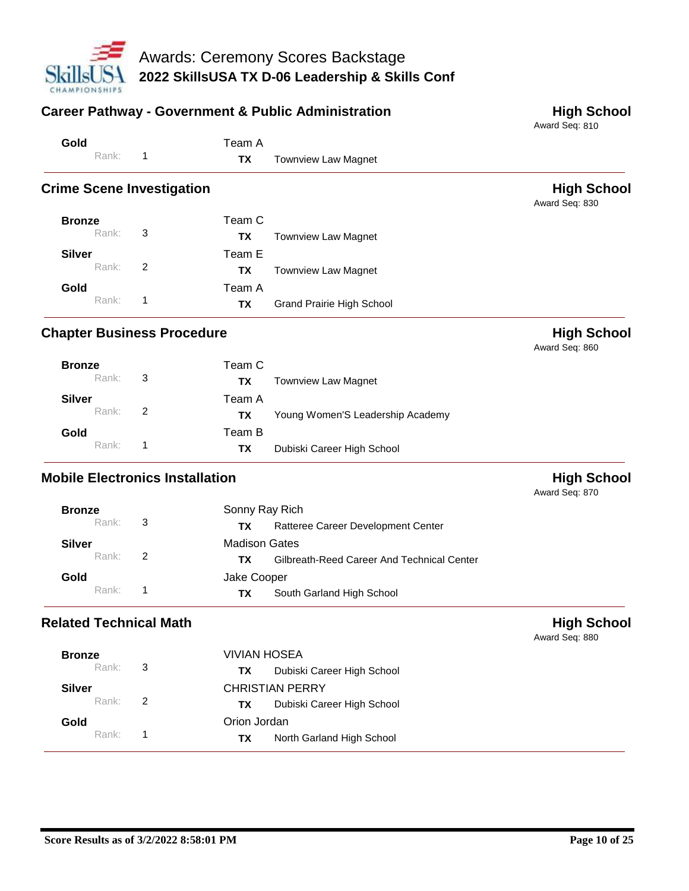

| <b>Career Pathway - Government &amp; Public Administration</b> |                      |                                            | <b>High School</b><br>Award Seq: 810 |
|----------------------------------------------------------------|----------------------|--------------------------------------------|--------------------------------------|
| Gold                                                           | Team A               |                                            |                                      |
| Rank:<br>$\mathbf{1}$                                          | <b>TX</b>            | <b>Townview Law Magnet</b>                 |                                      |
| <b>Crime Scene Investigation</b>                               |                      |                                            | <b>High School</b><br>Award Seq: 830 |
| <b>Bronze</b>                                                  | Team C               |                                            |                                      |
| Rank:<br>3                                                     | <b>TX</b>            | <b>Townview Law Magnet</b>                 |                                      |
| Silver                                                         | Team E               |                                            |                                      |
| Rank:<br>2                                                     | <b>TX</b>            | <b>Townview Law Magnet</b>                 |                                      |
| Gold                                                           | Team A               |                                            |                                      |
| Rank:<br>1                                                     | <b>TX</b>            | Grand Prairie High School                  |                                      |
| <b>Chapter Business Procedure</b>                              |                      |                                            | <b>High School</b><br>Award Seq: 860 |
| <b>Bronze</b>                                                  | Team C               |                                            |                                      |
| Rank:<br>3                                                     | <b>TX</b>            | <b>Townview Law Magnet</b>                 |                                      |
| Silver                                                         | Team A               |                                            |                                      |
| Rank:<br>2                                                     | <b>TX</b>            | Young Women'S Leadership Academy           |                                      |
| Gold                                                           | Team B               |                                            |                                      |
| Rank:<br>1                                                     | <b>TX</b>            | Dubiski Career High School                 |                                      |
| <b>Mobile Electronics Installation</b>                         |                      |                                            | <b>High School</b><br>Award Seq: 870 |
| <b>Bronze</b>                                                  | Sonny Ray Rich       |                                            |                                      |
| Rank:<br>3                                                     | ТX                   | Ratteree Career Development Center         |                                      |
| <b>Silver</b>                                                  | <b>Madison Gates</b> |                                            |                                      |
| Rank:<br>2                                                     | <b>TX</b>            | Gilbreath-Reed Career And Technical Center |                                      |
| Gold                                                           | Jake Cooper          |                                            |                                      |
| Rank:<br>$\mathbf{1}$                                          | ТX                   | South Garland High School                  |                                      |
| <b>Related Technical Math</b>                                  |                      |                                            | <b>High School</b><br>Award Seq: 880 |
| <b>Bronze</b>                                                  | VIVIAN HOSEA         |                                            |                                      |
| 3<br>Rank:                                                     | ТX                   | Dubiski Career High School                 |                                      |

| Kank:         | - 3 | Dubiski Career High School<br>ΤХ |  |
|---------------|-----|----------------------------------|--|
| <b>Silver</b> |     | <b>CHRISTIAN PERRY</b>           |  |
| Rank:         |     | Dubiski Career High School<br>ΤХ |  |
| Gold          |     | Orion Jordan                     |  |
| Rank:         |     | North Garland High School<br>ΤХ  |  |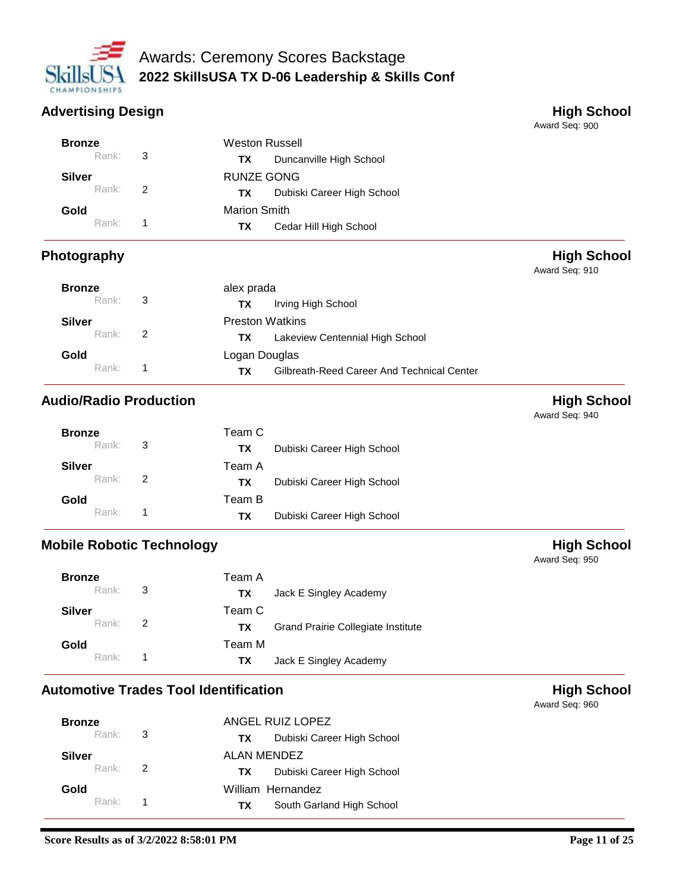

# **Advertising Design Contract Contract Contract Contract Contract Contract Contract Contract Contract Contract Contract Contract Contract Contract Contract Contract Contract Contract Contract Contract Contract Contract Cont**

Award Seq: 900

Award Seq: 910

| <b>Bronze</b> |   | <b>Weston Russell</b>             |
|---------------|---|-----------------------------------|
| Rank: 3       |   | Duncanville High School<br>TX.    |
| Silver        |   | RUNZE GONG                        |
| Rank: 2       |   | Dubiski Career High School<br>TX. |
| Gold          |   | <b>Marion Smith</b>               |
| Rank:         | 1 | Cedar Hill High School<br>TХ      |

# **Photography High School**

| <b>Bronze</b> |                            | alex prada                                       |
|---------------|----------------------------|--------------------------------------------------|
| Rank:         | $\overline{\phantom{a}}$ 3 | Irving High School<br>TХ                         |
| <b>Silver</b> |                            | <b>Preston Watkins</b>                           |
| Rank:         | $\overline{2}$             | Lakeview Centennial High School<br>ТX            |
| Gold          |                            | Logan Douglas                                    |
| Rank:         |                            | Gilbreath-Reed Career And Technical Center<br>ΤХ |

# **Audio/Radio Production Audio/Radio Production**

Award Seq: 940

| <b>Bronze</b>       |                          | Team C                            |
|---------------------|--------------------------|-----------------------------------|
| Rank:               | $\overline{\phantom{a}}$ | Dubiski Career High School<br>TX. |
| Silver              |                          | Team A                            |
| Rank $\overline{2}$ |                          | Dubiski Career High School<br>TX. |
| Gold                |                          | Team B                            |
| Rank <sup>+</sup>   | -1                       | Dubiski Career High School<br>TX. |

# **Mobile Robotic Technology All and School High School**

| <b>Bronze</b>     |                | Team A                                    |
|-------------------|----------------|-------------------------------------------|
| Rank: 3           |                | Jack E Singley Academy<br>TX.             |
| <b>Silver</b>     |                | Team C                                    |
| Rank: 2           |                | Grand Prairie Collegiate Institute<br>TX. |
| Gold              |                | Team M                                    |
| Rank <sup>+</sup> | $\overline{1}$ | Jack E Singley Academy<br>TX.             |

# **Automotive Trades Tool Identification Material Contracts High School**

| <b>Bronze</b> | ANGEL RUIZ LOPEZ |                                    |  |
|---------------|------------------|------------------------------------|--|
| Rank: 3       |                  | Dubiski Career High School<br>TX T |  |
| Silver        |                  | ALAN MENDEZ                        |  |
| Rank: 2       |                  | Dubiski Career High School<br>TX T |  |
| Gold          |                  | William Hernandez                  |  |
| Rank: 1       |                  | South Garland High School<br>TX T  |  |

Award Seq: 950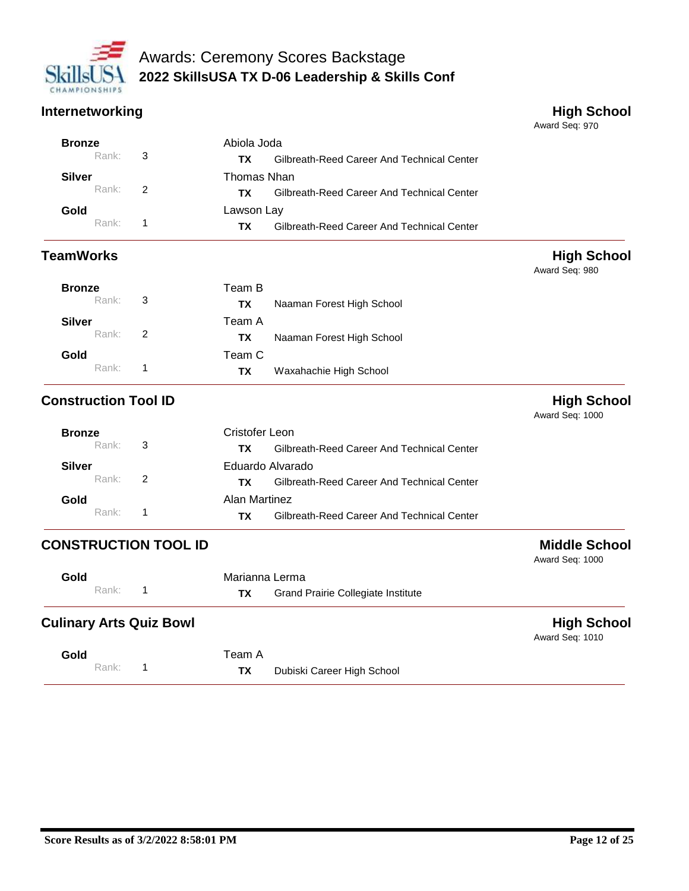

### **Internetworking High School**

Award Seq: 970

| <b>Bronze</b> |                            | Abiola Joda                                      |
|---------------|----------------------------|--------------------------------------------------|
| Rank:         | $\overline{\phantom{a}}$ 3 | Gilbreath-Reed Career And Technical Center<br>ΤХ |
| Silver        |                            | Thomas Nhan                                      |
| Rank:         | $\overline{2}$             | Gilbreath-Reed Career And Technical Center<br>ΤХ |
| Gold          |                            | Lawson Lay                                       |
| Rank:         |                            | Gilbreath-Reed Career And Technical Center<br>ТΧ |

### **TeamWorks High School**

Award Seq: 980

| <b>Bronze</b> |   | Team B |                           |
|---------------|---|--------|---------------------------|
| Rank:         | 3 | ТX     | Naaman Forest High School |
| <b>Silver</b> |   | Team A |                           |
| Rank:         | 2 | TХ     | Naaman Forest High School |
| Gold          |   | Team C |                           |
| Rank:         |   | ТX     | Waxahachie High School    |

# **Construction Tool ID Construction Tool ID**

Award Seq: 1000

|                   |                |                                                   | 1 1 <b>1 2 4 1 4</b> |
|-------------------|----------------|---------------------------------------------------|----------------------|
| <b>Bronze</b>     |                | Cristofer Leon                                    |                      |
| Rank: 3           |                | Gilbreath-Reed Career And Technical Center<br>TX. |                      |
| <b>Silver</b>     |                | Eduardo Alvarado                                  |                      |
| Rank:             | $\overline{2}$ | Gilbreath-Reed Career And Technical Center<br>TX. |                      |
| Gold              |                | Alan Martinez                                     |                      |
| Rank <sup>.</sup> |                | Gilbreath-Reed Career And Technical Center<br>ΤХ  |                      |

# **CONSTRUCTION TOOL ID Middle School**

| Gold  | Marianna Lerma                            | . |
|-------|-------------------------------------------|---|
| Rank: | <b>Grand Prairie Collegiate Institute</b> |   |

# **Culinary Arts Quiz Bowl High School**

Award Seq: 1010

Award Seq: 1000

| שוטט |       | i cali |
|------|-------|--------|
|      | Rank: | ТX     |

**Gold**

Dubiski Career High School

Team A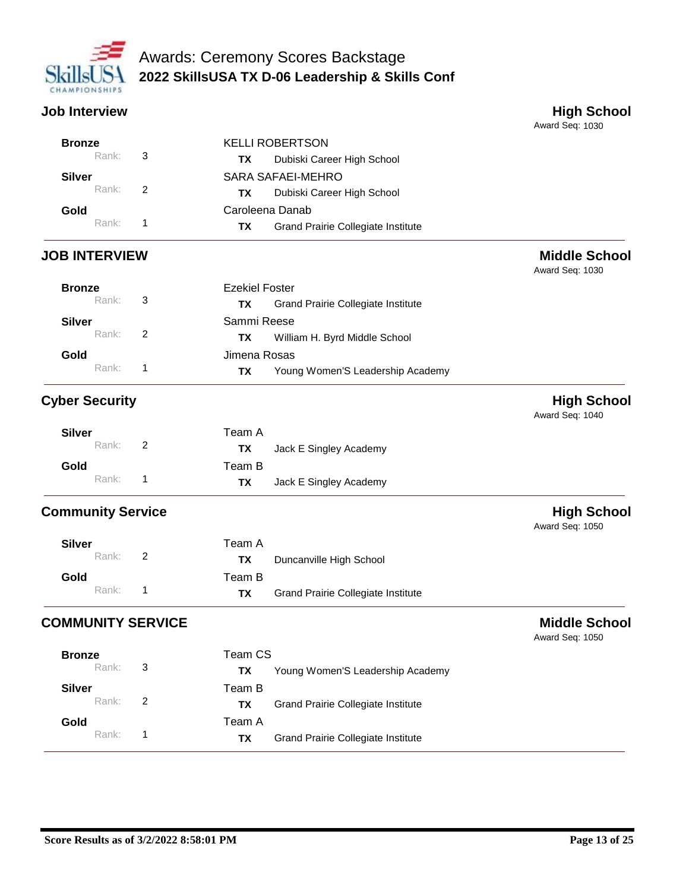

**Job Interview High School** 

|                          |              |                                                        | Award Seq: 1030                         |
|--------------------------|--------------|--------------------------------------------------------|-----------------------------------------|
| <b>Bronze</b>            |              | <b>KELLI ROBERTSON</b>                                 |                                         |
| Rank:                    | 3            | Dubiski Career High School<br><b>TX</b>                |                                         |
| <b>Silver</b>            |              | <b>SARA SAFAEI-MEHRO</b>                               |                                         |
| Rank:                    | 2            | Dubiski Career High School<br><b>TX</b>                |                                         |
| Gold                     |              | Caroleena Danab                                        |                                         |
| Rank:                    | $\mathbf{1}$ | <b>TX</b><br><b>Grand Prairie Collegiate Institute</b> |                                         |
| <b>JOB INTERVIEW</b>     |              |                                                        | <b>Middle School</b><br>Award Seq: 1030 |
| <b>Bronze</b>            |              | <b>Ezekiel Foster</b>                                  |                                         |
| Rank:                    | 3            | <b>TX</b><br><b>Grand Prairie Collegiate Institute</b> |                                         |
| <b>Silver</b>            |              | Sammi Reese                                            |                                         |
| Rank:                    | 2            | <b>TX</b><br>William H. Byrd Middle School             |                                         |
| Gold                     |              | Jimena Rosas                                           |                                         |
| Rank:                    | 1            | Young Women'S Leadership Academy<br><b>TX</b>          |                                         |
| <b>Cyber Security</b>    |              |                                                        | <b>High School</b><br>Award Seq: 1040   |
| <b>Silver</b>            |              | Team A                                                 |                                         |
| Rank:                    | 2            | <b>TX</b><br>Jack E Singley Academy                    |                                         |
| Gold                     |              | Team B                                                 |                                         |
| Rank:                    | $\mathbf{1}$ | <b>TX</b><br>Jack E Singley Academy                    |                                         |
| <b>Community Service</b> |              |                                                        | <b>High School</b><br>Award Seq: 1050   |
| <b>Silver</b>            |              | Team A                                                 |                                         |
| Rank:                    | 2            | <b>TX</b><br>Duncanville High School                   |                                         |
| Gold                     |              | Team B                                                 |                                         |
| Rank:                    | 1            | <b>TX</b><br><b>Grand Prairie Collegiate Institute</b> |                                         |
|                          |              |                                                        |                                         |

# **COMMUNITY SERVICE Middle School**

| Rank: | - 3            | ΤХ        | Young Women'S Leadership Academy          |
|-------|----------------|-----------|-------------------------------------------|
|       |                | Team B    |                                           |
| Rank: | $\overline{2}$ | TХ        | <b>Grand Prairie Collegiate Institute</b> |
|       |                | Team A    |                                           |
| Rank: |                | <b>TX</b> | <b>Grand Prairie Collegiate Institute</b> |
|       | <b>Bronze</b>  |           | Team CS                                   |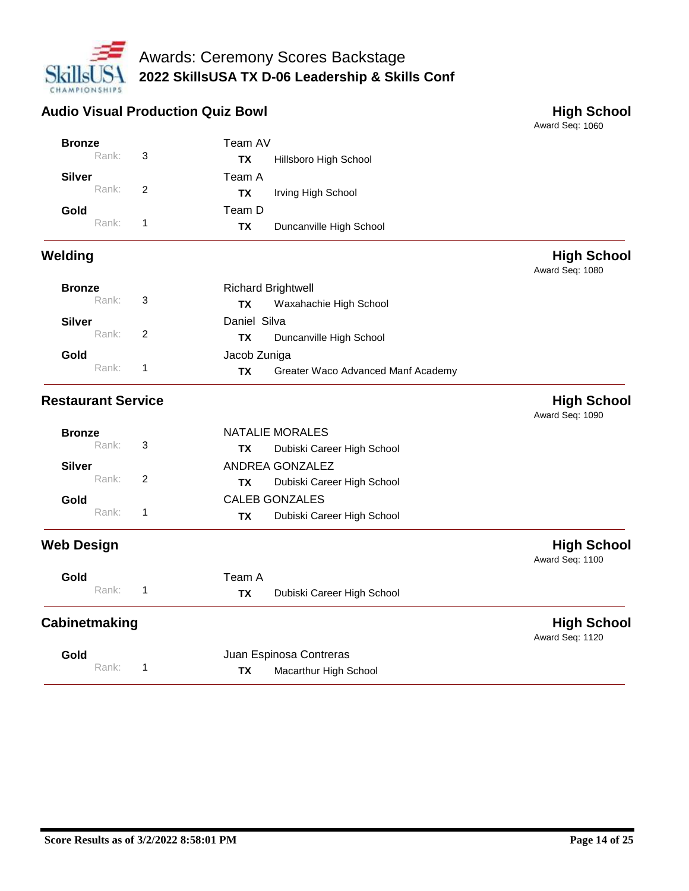

## Audio Visual Production Quiz Bowl **Audio Visual Production Quiz Bowl High School**

| <b>Bronze</b>             |       |                | Team AV                   |                                    |                                       |
|---------------------------|-------|----------------|---------------------------|------------------------------------|---------------------------------------|
|                           | Rank: | 3              | <b>TX</b>                 | Hillsboro High School              |                                       |
| Silver                    |       |                | Team A                    |                                    |                                       |
|                           | Rank: | $\overline{2}$ | <b>TX</b>                 | Irving High School                 |                                       |
| Gold                      |       |                | Team D                    |                                    |                                       |
|                           | Rank: | 1              | <b>TX</b>                 | Duncanville High School            |                                       |
| Welding                   |       |                |                           |                                    | <b>High School</b><br>Award Seq: 1080 |
| <b>Bronze</b>             |       |                | <b>Richard Brightwell</b> |                                    |                                       |
|                           | Rank: | 3              | <b>TX</b>                 | Waxahachie High School             |                                       |
| <b>Silver</b>             |       |                | Daniel Silva              |                                    |                                       |
|                           | Rank: | $\overline{2}$ | <b>TX</b>                 | Duncanville High School            |                                       |
| Gold                      |       |                | Jacob Zuniga              |                                    |                                       |
|                           | Rank: | 1              | <b>TX</b>                 | Greater Waco Advanced Manf Academy |                                       |
| <b>Restaurant Service</b> |       |                |                           |                                    | <b>High School</b><br>Award Seq: 1090 |
| <b>Bronze</b>             |       |                |                           | <b>NATALIE MORALES</b>             |                                       |
|                           | Rank: | 3              | <b>TX</b>                 | Dubiski Career High School         |                                       |
| <b>Silver</b>             |       |                |                           | ANDREA GONZALEZ                    |                                       |
|                           | Rank: | $\overline{2}$ | <b>TX</b>                 | Dubiski Career High School         |                                       |
| Gold                      |       |                |                           | <b>CALEB GONZALES</b>              |                                       |
|                           | Rank: | 1              | <b>TX</b>                 | Dubiski Career High School         |                                       |
| <b>Web Design</b>         |       |                |                           |                                    | <b>High School</b><br>Award Seq: 1100 |
| Gold                      |       |                | Team A                    |                                    |                                       |
|                           | Rank: | 1              | <b>TX</b>                 | Dubiski Career High School         |                                       |
| Cabinetmaking             |       |                |                           |                                    | <b>High School</b><br>Award Seq: 1120 |
| Gold                      |       |                |                           | Juan Espinosa Contreras            |                                       |
|                           | Rank: | 1              | <b>TX</b>                 | Macarthur High School              |                                       |
|                           |       |                |                           |                                    |                                       |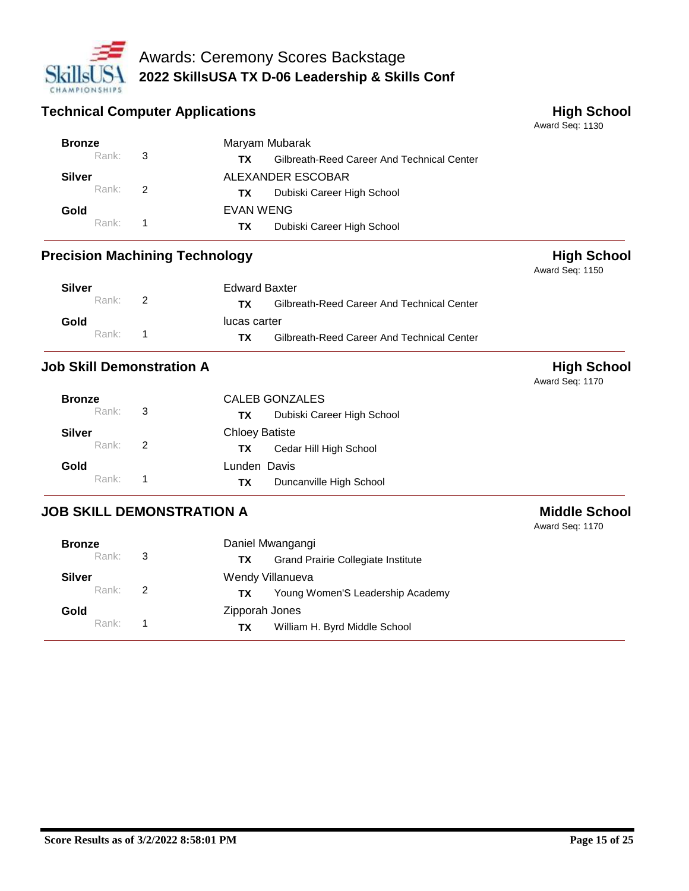

### **Technical Computer Applications High School**

Award Seq: 1130

Award Seq: 1150

| <b>Bronze</b>     | Maryam Mubarak                                    |
|-------------------|---------------------------------------------------|
| Rank: 3           | Gilbreath-Reed Career And Technical Center<br>ТX. |
| <b>Silver</b>     | ALEXANDER ESCOBAR                                 |
| Rank: 2           | Dubiski Career High School<br>TX.                 |
| Gold              | EVAN WENG                                         |
| Rank <sup>+</sup> | Dubiski Career High School<br>TX.                 |

### **Precision Machining Technology High School**

| <b>Silver</b> | <b>Edward Baxter</b> |                                                   |
|---------------|----------------------|---------------------------------------------------|
| Rank: 2       |                      | Gilbreath-Reed Career And Technical Center<br>TX. |
| Gold          |                      | lucas carter                                      |
| $Rank:$ 1     |                      | Gilbreath-Reed Career And Technical Center<br>TX. |

# **Job Skill Demonstration A High School**

Award Seq: 1170

| <b>Bronze</b> |                            | <b>CALEB GONZALES</b>            |
|---------------|----------------------------|----------------------------------|
| Rank:         | $\overline{\phantom{a}}$ 3 | Dubiski Career High School<br>TХ |
| <b>Silver</b> |                            | <b>Chloey Batiste</b>            |
| Rank:         | $\overline{2}$             | Cedar Hill High School<br>ТX     |
| Gold          |                            | Lunden Davis                     |
| Rank:         | 1                          | Duncanville High School<br>ΤХ    |

# **JOB SKILL DEMONSTRATION A Middle School**

| <b>Bronze</b> |               | Daniel Mwangangi                                |
|---------------|---------------|-------------------------------------------------|
| Rank:         | 3             | <b>Grand Prairie Collegiate Institute</b><br>ТX |
| <b>Silver</b> |               | Wendy Villanueva                                |
| Rank:         | $\mathcal{P}$ | Young Women'S Leadership Academy<br>ТX.         |
| Gold          |               | Zipporah Jones                                  |
| Rank:         |               | William H. Byrd Middle School<br>ТX             |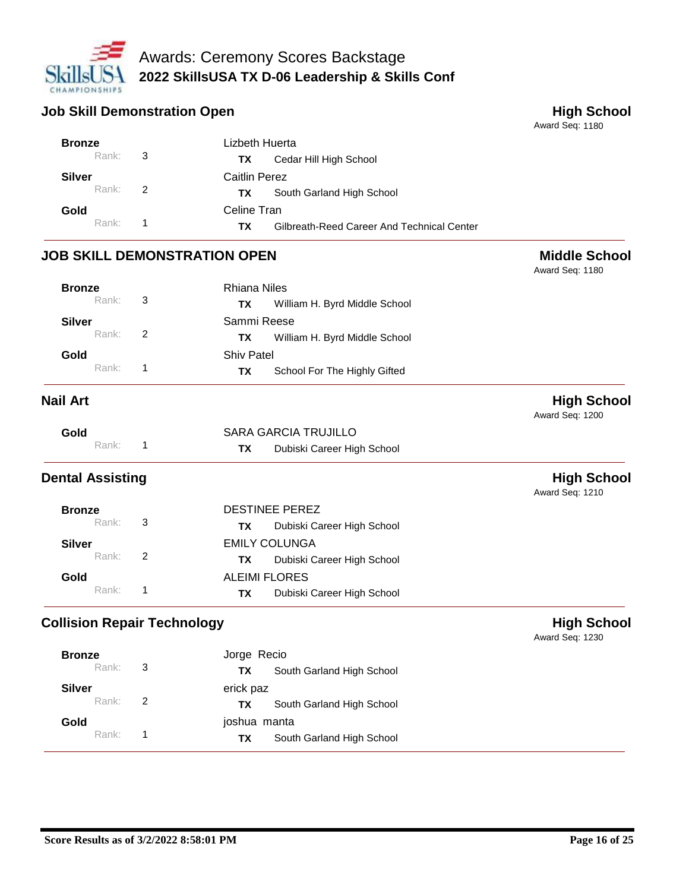

### **Job Skill Demonstration Open High School**

Award Seq: 1180

Award Seq: 1180

| <b>Bronze</b> | Lizbeth Huerta                                   |
|---------------|--------------------------------------------------|
| Rank: 3       | Cedar Hill High School<br>TX.                    |
| Silver        | Caitlin Perez                                    |
| Rank: 2       | South Garland High School<br>TX.                 |
| Gold          | Celine Tran                                      |
| $Rank:$ 1     | Gilbreath-Reed Career And Technical Center<br>ΤХ |

### **JOB SKILL DEMONSTRATION OPEN Middle School**

| <b>Bronze</b> |                            | Rhiana Niles                        |
|---------------|----------------------------|-------------------------------------|
| Rank:         | $_{3}$                     | William H. Byrd Middle School<br>ТX |
| <b>Silver</b> |                            | Sammi Reese                         |
| Rank:         | $\overline{\phantom{a}}$ 2 | William H. Byrd Middle School<br>ТX |
| Gold          |                            | <b>Shiv Patel</b>                   |
| Rank:         |                            | School For The Highly Gifted<br>TХ  |

**Nail Art High School** Award Seq: 1200

| Gold    | SARA GARCIA TRUJILLO                    |  |
|---------|-----------------------------------------|--|
| Rank: 1 | Dubiski Career High School<br><b>TX</b> |  |

# **Dental Assisting High School**

Award Seq: 1210

| <b>Bronze</b> | DESTINEE PEREZ                    |
|---------------|-----------------------------------|
| Rank: 3       | Dubiski Career High School<br>TX. |
| Silver        | <b>EMILY COLUNGA</b>              |
| Rank: 2       | Dubiski Career High School<br>TX. |
| Gold          | <b>ALEIMI FLORES</b>              |
| Rank: 1       | Dubiski Career High School<br>TX. |
|               |                                   |

# **Collision Repair Technology According to the Collision Repair Technology High School**

| <b>Bronze</b> |                | Jorge Recio                            |
|---------------|----------------|----------------------------------------|
| Rank:         | - 3            | South Garland High School<br><b>TX</b> |
| <b>Silver</b> |                | erick paz                              |
| Rank:         | $\overline{2}$ | South Garland High School<br>ТX        |
| Gold          |                | joshua manta                           |
| Rank:         |                | South Garland High School<br>TX.       |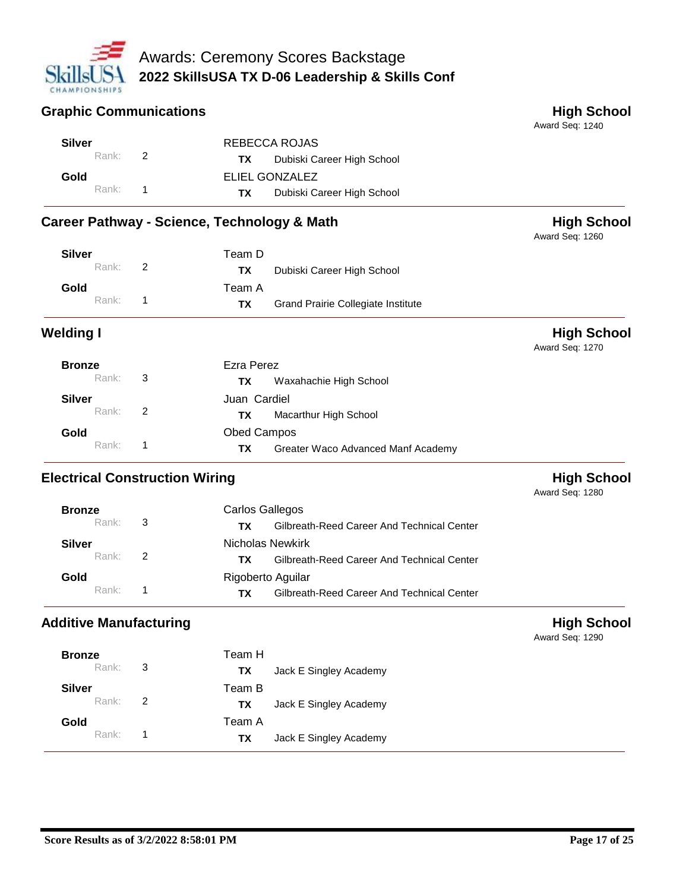

#### **Graphic Communications Communications High School**

Award Seq: 1240

Award Seq: 1260

| Silver  |  | REBECCA ROJAS                        |
|---------|--|--------------------------------------|
| Rank: 2 |  | <b>TX</b> Dubiski Career High School |
| Gold    |  | ELIEL GONZALEZ                       |
| Rank: 1 |  | Dubiski Career High School<br>TX T   |

# Career Pathway - Science, Technology & Math<br>
High School

| Silver<br>Rank: 2 | Team D<br>TX. | Dubiski Career High School                |
|-------------------|---------------|-------------------------------------------|
| Gold              | Team A        |                                           |
| Rank: 1           | TX.           | <b>Grand Prairie Collegiate Institute</b> |

**Welding I High School** Award Seq: 1270

| <b>Bronze</b> |                            | Ezra Perez                               |  |
|---------------|----------------------------|------------------------------------------|--|
| Rank:         | $\overline{\phantom{a}}$ 3 | Waxahachie High School<br>TХ             |  |
| <b>Silver</b> |                            | Juan Cardiel                             |  |
| Rank:         | $\overline{2}$             | Macarthur High School<br>TX.             |  |
| Gold          |                            | <b>Obed Campos</b>                       |  |
| Rank:         |                            | Greater Waco Advanced Manf Academy<br>ΤХ |  |

# **Electrical Construction Wiring High School High School**

Award Seq: 1280

| <b>Bronze</b>     |                | Carlos Gallegos                                  |
|-------------------|----------------|--------------------------------------------------|
| Rank: 3           |                | Gilbreath-Reed Career And Technical Center<br>тх |
| Silver            |                | Nicholas Newkirk                                 |
| Rank:             | $\overline{2}$ | Gilbreath-Reed Career And Technical Center<br>тх |
| Gold              |                | Rigoberto Aguilar                                |
| Rank <sup>+</sup> | 1              | Gilbreath-Reed Career And Technical Center<br>ТΧ |

# **Additive Manufacturing High School**

| <b>Bronze</b> |   | Team H |                        |
|---------------|---|--------|------------------------|
| Rank:         | 3 | ТX     | Jack E Singley Academy |
| <b>Silver</b> |   | Team B |                        |
| Rank:         | 2 | TX     | Jack E Singley Academy |
| Gold          |   | Team A |                        |
| Rank:         | 1 | TX     | Jack E Singley Academy |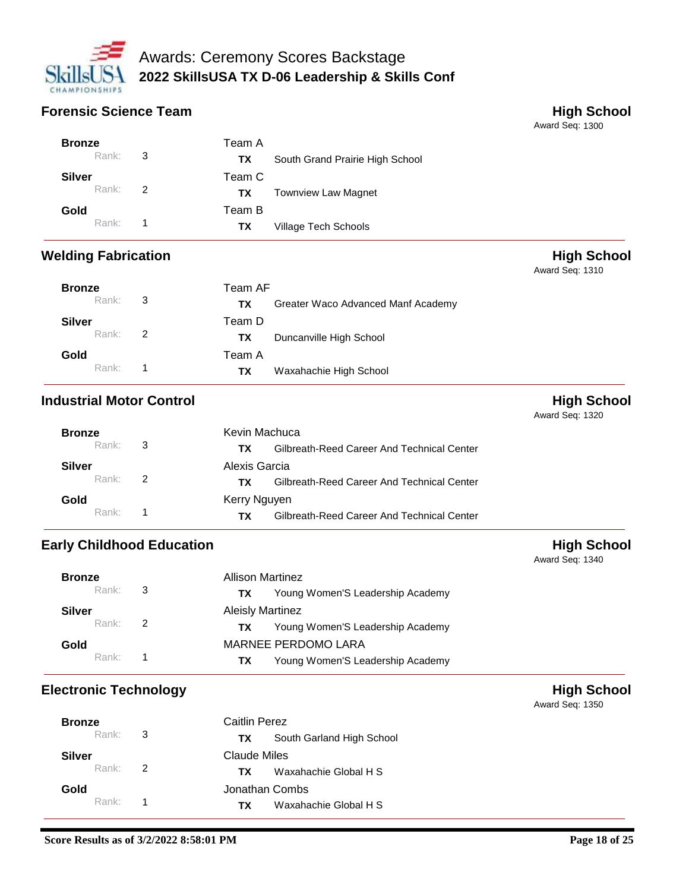

### **Forensic Science Team All 2008 Contracts and All 2009 Contracts and All 2009 Contracts and All 2009 Contracts and All 2009 Contracts and All 2009 Contracts and All 2009 Contracts and All 2009 Contracts and All 2009 Cont**

Award Seq: 1300

| Team A                                 |  |
|----------------------------------------|--|
| South Grand Prairie High School<br>TX. |  |
| Team C                                 |  |
| <b>Townview Law Magnet</b><br>TX.      |  |
| Team B                                 |  |
| Village Tech Schools<br>TX.            |  |
| Rank: 3<br>Rank: 2<br>Rank: 1          |  |

## **Welding Fabrication Welding Fabrication High School**

Award Seq: 1310

| <b>Bronze</b>        | Team AF |        |                                    |
|----------------------|---------|--------|------------------------------------|
| Rank: 3              |         | ΤХ     | Greater Waco Advanced Manf Academy |
| <b>Silver</b>        |         | Team D |                                    |
| Rank: $\overline{2}$ |         | TX.    | Duncanville High School            |
| Gold                 |         | Team A |                                    |
| Rank <sup>.</sup>    | 1       | TX.    | Waxahachie High School             |

# **Industrial Motor Control Music Control High School**

Award Seq: 1320

Award Seq: 1340

Award Seq: 1350

| <b>Bronze</b> | Kevin Machuca                                     |  |  |
|---------------|---------------------------------------------------|--|--|
| Rank: 3       | Gilbreath-Reed Career And Technical Center<br>TX. |  |  |
| Silver        | Alexis Garcia                                     |  |  |
| $Rank:$ 2     | Gilbreath-Reed Career And Technical Center<br>TX. |  |  |
| Gold          | Kerry Nguyen                                      |  |  |
| $Rank:$ 1     | Gilbreath-Reed Career And Technical Center<br>тх. |  |  |

# **Early Childhood Education High School**

| <b>Bronze</b> |                | Allison Martinez                       |  |
|---------------|----------------|----------------------------------------|--|
| Rank: 3       |                | Young Women'S Leadership Academy<br>ТX |  |
| <b>Silver</b> |                | <b>Aleisly Martinez</b>                |  |
| Rank:         | $\overline{2}$ | Young Women'S Leadership Academy<br>ТΧ |  |
| Gold          |                | MARNEE PERDOMO LARA                    |  |
| Rank:         |                | Young Women'S Leadership Academy<br>ΤХ |  |

# **Electronic Technology High School**

| <b>Bronze</b>      | Caitlin Perez  |                           |  |
|--------------------|----------------|---------------------------|--|
| Rank: $\mathbf{3}$ | TX.            | South Garland High School |  |
| Silver             | Claude Miles   |                           |  |
| Rank: 2            | TX.            | Waxahachie Global H S     |  |
| Gold               | Jonathan Combs |                           |  |
| $Rank:$ 1          | TX.            | Waxahachie Global H S     |  |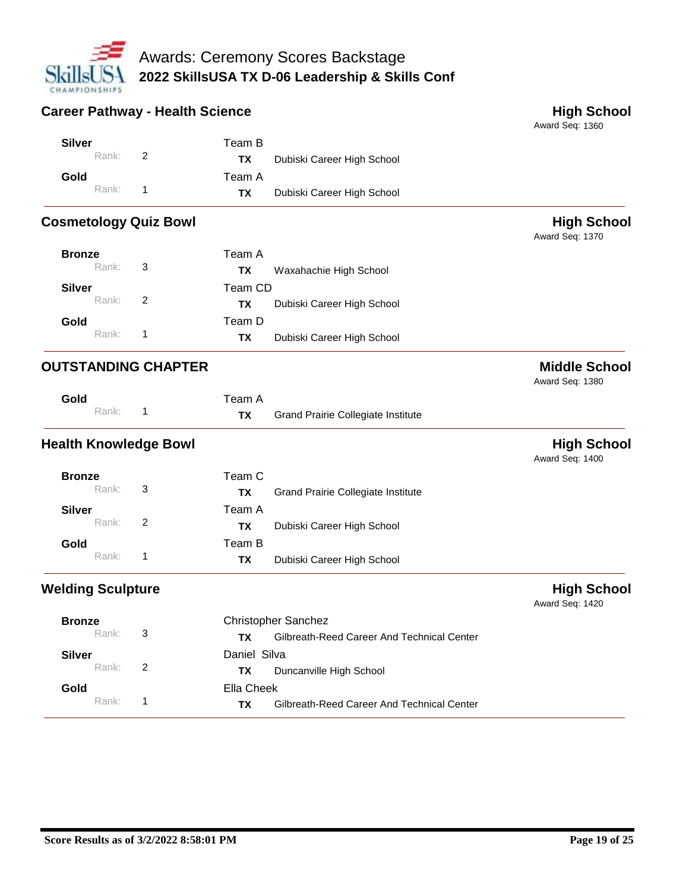

## **Career Pathway - Health Science <b>All Accords High School**

Award Seq: 1360

| <b>Silver</b> |         | Team B    |                            |
|---------------|---------|-----------|----------------------------|
|               | Rank: 2 | TX.       | Dubiski Career High School |
| Gold          |         | Team A    |                            |
|               | Rank: 1 | <b>TX</b> | Dubiski Career High School |

# **Cosmetology Quiz Bowl**

Award Seq: 1370

| <b>Bronze</b> |         |                            | Team A  |                            |
|---------------|---------|----------------------------|---------|----------------------------|
|               | Rank:   | $\overline{\phantom{a}}$ 3 | TХ      | Waxahachie High School     |
| <b>Silver</b> |         |                            | Team CD |                            |
|               | Rank: 2 |                            | TХ      | Dubiski Career High School |
| Gold          |         |                            | Team D  |                            |
|               | Rank:   | 1                          | ΤХ      | Dubiski Career High School |

# **OUTSTANDING CHAPTER Middle School**

Award Seq: 1380

| Gold    | Team A    |                                           |
|---------|-----------|-------------------------------------------|
| Rank: 1 | <b>TX</b> | <b>Grand Prairie Collegiate Institute</b> |

# **Health Knowledge Bowl High School**

Award Seq: 1400

| <b>Bronze</b><br>Rank: | 3              | Team C<br>ΤХ | <b>Grand Prairie Collegiate Institute</b> |
|------------------------|----------------|--------------|-------------------------------------------|
| <b>Silver</b><br>Rank: | $\overline{2}$ | Team A<br>ΤХ | Dubiski Career High School                |
| Gold<br>Rank:          | -1             | Team B<br>ΤХ | Dubiski Career High School                |

# **Welding Sculpture High School**

| <b>Bronze</b>     |                | <b>Christopher Sanchez</b>                       |
|-------------------|----------------|--------------------------------------------------|
| Rank:             | - 3            | Gilbreath-Reed Career And Technical Center<br>тх |
| Silver            |                | Daniel Silva                                     |
| Rank:             | $\overline{2}$ | Duncanville High School<br>TX.                   |
| Gold              |                | Ella Cheek                                       |
| Rank <sup>.</sup> | $\blacksquare$ | Gilbreath-Reed Career And Technical Center<br>ТX |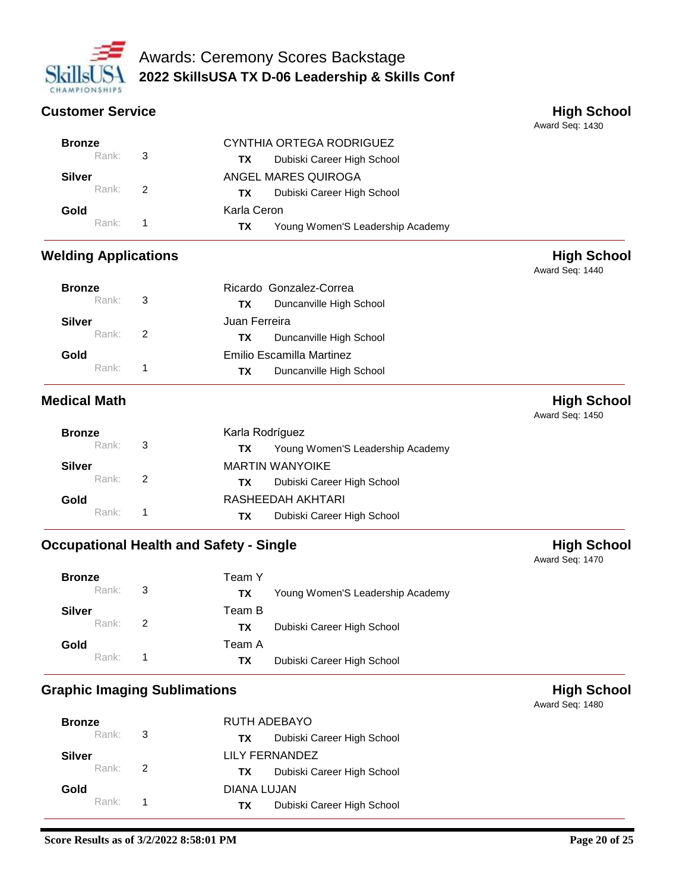

### **Customer Service All and School Customer Service All and School High School**

Award Seq: 1430

Award Seq: 1440

| <b>Bronze</b> |                            | CYNTHIA ORTEGA RODRIGUEZ               |
|---------------|----------------------------|----------------------------------------|
| Rank:         | $\overline{\phantom{a}}$ 3 | Dubiski Career High School<br>ТX       |
| <b>Silver</b> |                            | ANGEL MARES QUIROGA                    |
| Rank:         | -2                         | Dubiski Career High School<br>ТX       |
| Gold          |                            | Karla Ceron                            |
| Rank:         | $\mathbf 1$                | Young Women'S Leadership Academy<br>ΤХ |

## **Welding Applications Welding Applications**

| <b>Bronze</b><br>Rank: | - 3           | Ricardo Gonzalez-Correa<br>Duncanville High School<br>ТX   |  |
|------------------------|---------------|------------------------------------------------------------|--|
| <b>Silver</b><br>Rank: | $\mathcal{P}$ | Juan Ferreira<br>Duncanville High School<br>ТX             |  |
| Gold<br>Rank:          |               | Emilio Escamilla Martinez<br>Duncanville High School<br>ТX |  |

### **Medical Math High School**

Award Seq: 1450

| <b>Bronze</b>       |                | Karla Rodríguez                         |  |  |
|---------------------|----------------|-----------------------------------------|--|--|
| Rank: 3             |                | Young Women'S Leadership Academy<br>TX. |  |  |
| Silver              |                | <b>MARTIN WANYOIKE</b>                  |  |  |
| Rank $\overline{2}$ |                | Dubiski Career High School<br>TX.       |  |  |
| Gold                |                | RASHEEDAH AKHTARI                       |  |  |
| Rank:               | $\overline{1}$ | Dubiski Career High School<br>TX.       |  |  |

# **Occupational Health and Safety - Single <b>High School High School**

| <b>Bronze</b><br>Rank: 3 | Team Y<br>ТX                      |
|--------------------------|-----------------------------------|
|                          | Young Women'S Leadership Academy  |
| <b>Silver</b>            | Team B                            |
| Rank: 2                  | Dubiski Career High School<br>TX. |
| Gold                     | Team A                            |
| $Rank:$ 1                | Dubiski Career High School<br>TX. |

# **Graphic Imaging Sublimations All and School High School**

| <b>Bronze</b> |             | RUTH ADEBAYO |                            |
|---------------|-------------|--------------|----------------------------|
| Rank: 3       |             | TX .         | Dubiski Career High School |
| <b>Silver</b> |             |              | LILY FERNANDEZ             |
| Rank: 2       |             | TX T         | Dubiski Career High School |
| Gold          | DIANA LUJAN |              |                            |
| $Rank:$ 1     |             | TX .         | Dubiski Career High School |

Award Seq: 1470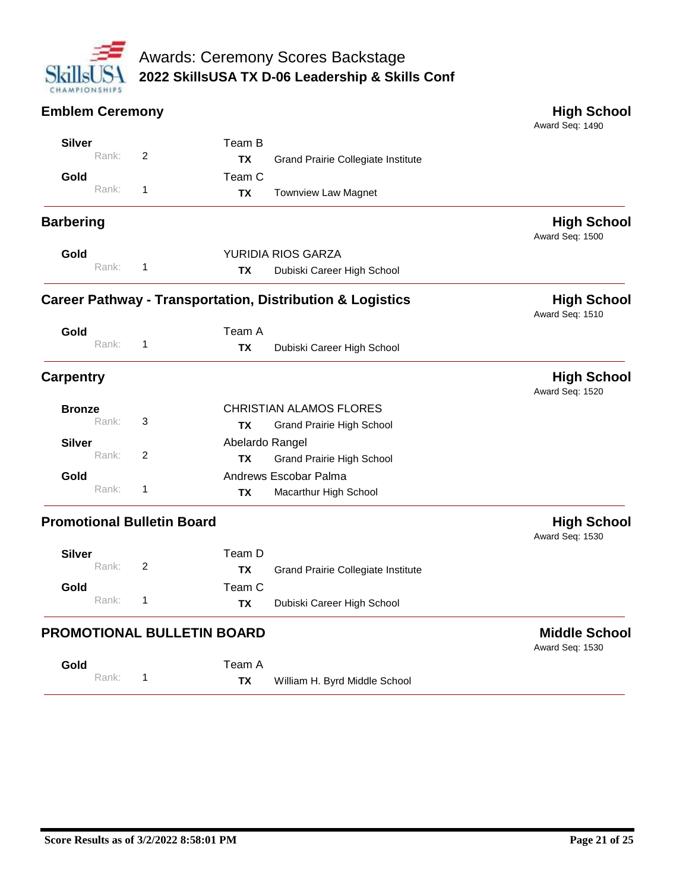

#### **Emblem Ceremony High School** Award Seq: 1490 Team B Grand Prairie Collegiate Institute **Silver TX** Rank: 2 Team C Townview Law Magnet **Gold TX** Rank: 1 **Barbering High School** Award Seq: 1500 YURIDIA RIOS GARZA Dubiski Career High School **Gold TX** Rank: 1 **Career Pathway - Transportation, Distribution & Logistics High School** Award Seq: 1510 Team A Dubiski Career High School **Gold TX** Rank: 1 **Carpentry High School** Award Seq: 1520 CHRISTIAN ALAMOS FLORES Grand Prairie High School **Bronze TX** Rank: 3 Abelardo Rangel Grand Prairie High School **Silver TX** Rank: 2 Andrews Escobar Palma Macarthur High School **Gold TX** Rank: 1 **Promotional Bulletin Board Might School** Award Seq: 1530 Team D Grand Prairie Collegiate Institute **Silver TX** Rank: 2 Team C Dubiski Career High School **Gold TX** Rank: 1

#### **PROMOTIONAL BULLETIN BOARD Middle School**

**Gold TX** Rank: 1

William H. Byrd Middle School

Team A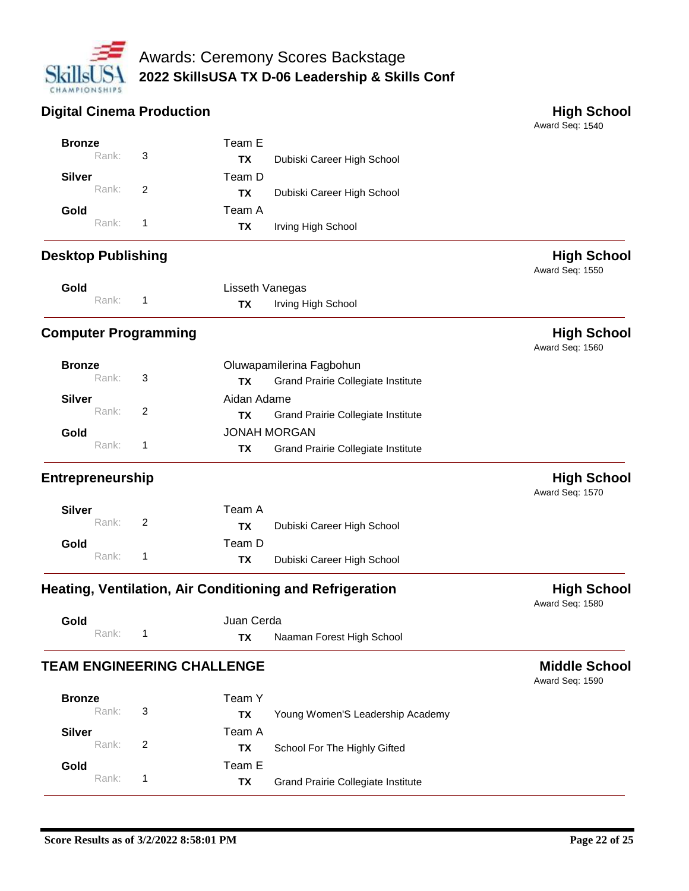

## **Digital Cinema Production All and School High School High School**

| <b>Bronze</b>             |       |                             | Team E                            |                                                          |                                         |
|---------------------------|-------|-----------------------------|-----------------------------------|----------------------------------------------------------|-----------------------------------------|
|                           | Rank: | 3                           | <b>TX</b>                         | Dubiski Career High School                               |                                         |
| <b>Silver</b>             |       |                             | Team D                            |                                                          |                                         |
|                           | Rank: | 2                           | <b>TX</b>                         | Dubiski Career High School                               |                                         |
| Gold                      |       |                             | Team A                            |                                                          |                                         |
|                           | Rank: | 1                           | TX                                | Irving High School                                       |                                         |
| <b>Desktop Publishing</b> |       |                             |                                   |                                                          | <b>High School</b><br>Award Seq: 1550   |
| Gold                      |       |                             | Lisseth Vanegas                   |                                                          |                                         |
|                           | Rank: | 1                           | TX                                | Irving High School                                       |                                         |
|                           |       | <b>Computer Programming</b> |                                   |                                                          | <b>High School</b><br>Award Seq: 1560   |
| <b>Bronze</b>             |       |                             |                                   | Oluwapamilerina Fagbohun                                 |                                         |
|                           | Rank: | 3                           | TX                                | <b>Grand Prairie Collegiate Institute</b>                |                                         |
| <b>Silver</b>             |       |                             | Aidan Adame                       |                                                          |                                         |
|                           | Rank: | 2                           | TХ                                | Grand Prairie Collegiate Institute                       |                                         |
| Gold                      |       |                             | <b>JONAH MORGAN</b>               |                                                          |                                         |
|                           | Rank: | 1                           | TX                                | Grand Prairie Collegiate Institute                       |                                         |
| <b>Entrepreneurship</b>   |       |                             |                                   |                                                          | <b>High School</b><br>Award Seq: 1570   |
| <b>Silver</b>             |       |                             | Team A                            |                                                          |                                         |
|                           | Rank: | 2                           | <b>TX</b>                         | Dubiski Career High School                               |                                         |
| Gold                      |       |                             | Team D                            |                                                          |                                         |
|                           | Rank: | 1                           | ТX                                | Dubiski Career High School                               |                                         |
|                           |       |                             |                                   | Heating, Ventilation, Air Conditioning and Refrigeration | <b>High School</b><br>Award Seq: 1580   |
| Gold                      |       |                             | Juan Cerda                        |                                                          |                                         |
|                           | Rank: | 1                           | ТX                                | Naaman Forest High School                                |                                         |
|                           |       |                             | <b>TEAM ENGINEERING CHALLENGE</b> |                                                          | <b>Middle School</b><br>Award Seq: 1590 |
| <b>Bronze</b>             |       |                             | Team Y                            |                                                          |                                         |
|                           | Rank: | 3                           | <b>TX</b>                         | Young Women'S Leadership Academy                         |                                         |
| <b>Silver</b>             |       |                             | Team A                            |                                                          |                                         |
|                           | Rank: | $\overline{2}$              | <b>TX</b>                         | School For The Highly Gifted                             |                                         |
| Gold                      |       |                             | Team E                            |                                                          |                                         |
|                           | Rank: | 1                           | <b>TX</b>                         | <b>Grand Prairie Collegiate Institute</b>                |                                         |
|                           |       |                             |                                   |                                                          |                                         |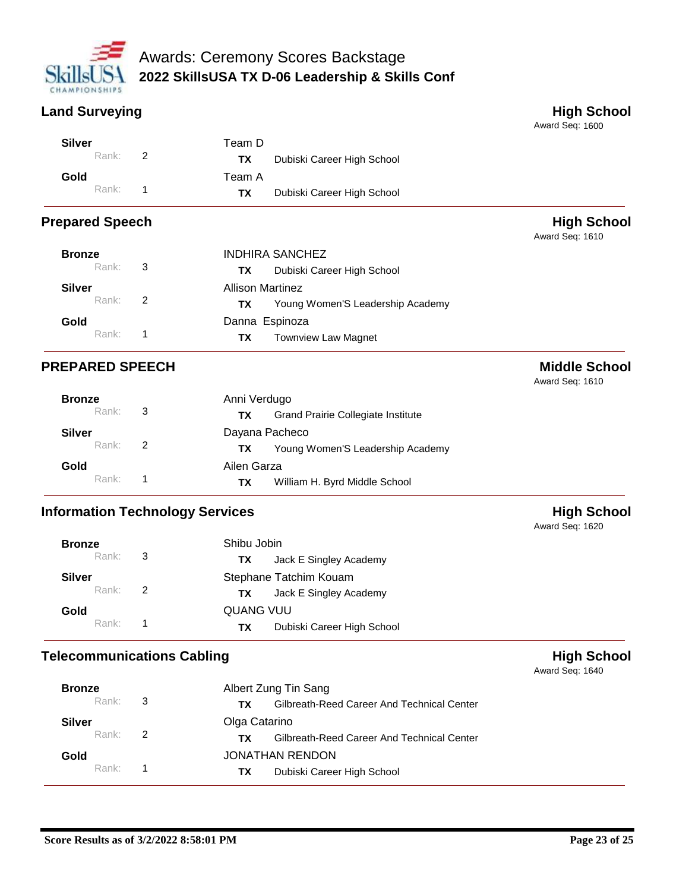

# **Land Surveying High School**

Award Seq: 1600

| Silver |         | Team D    |                            |
|--------|---------|-----------|----------------------------|
|        | Rank: 2 | TX.       | Dubiski Career High School |
| Gold   |         | Team A    |                            |
|        | Rank: 1 | <b>TX</b> | Dubiski Career High School |

# **Prepared Speech High School**

Award Seq: 1610

| <b>Bronze</b>       | <b>INDHIRA SANCHEZ</b> |                                         |  |
|---------------------|------------------------|-----------------------------------------|--|
| Rank: 3             |                        | Dubiski Career High School<br>TX.       |  |
| <b>Silver</b>       |                        | <b>Allison Martinez</b>                 |  |
| Rank: 2             |                        | Young Women'S Leadership Academy<br>TX. |  |
| Gold                |                        | Danna Espinoza                          |  |
| Rank <sup>*</sup> 1 |                        | <b>Townview Law Magnet</b><br>TX.       |  |

# **PREPARED SPEECH Middle School**

Award Seq: 1610

| <b>Bronze</b>     |                    | Anni Verdugo                                     |  |  |
|-------------------|--------------------|--------------------------------------------------|--|--|
|                   | Rank: $\mathbf{3}$ | <b>Grand Prairie Collegiate Institute</b><br>TX. |  |  |
| <b>Silver</b>     |                    | Dayana Pacheco                                   |  |  |
|                   | Rank: 2            | Young Women'S Leadership Academy<br>TX.          |  |  |
| Gold              |                    | Ailen Garza                                      |  |  |
| Rank <sup>.</sup> | -1                 | William H. Byrd Middle School<br>TX.             |  |  |

# **Information Technology Services Might School**

| <b>Bronze</b> |                          | Shibu Jobin                      |  |
|---------------|--------------------------|----------------------------------|--|
| Rank:         | -3                       | Jack E Singley Academy<br>TX.    |  |
| <b>Silver</b> |                          | Stephane Tatchim Kouam           |  |
| Rank:         | $\overline{\phantom{a}}$ | Jack E Singley Academy<br>TX.    |  |
| Gold          |                          | QUANG VUU                        |  |
| Rank:         |                          | Dubiski Career High School<br>ТX |  |

# **Telecommunications Cabling All 2008 Controls and Cabling High School**

| <b>Bronze</b>       |                          | Albert Zung Tin Sang                              |  |  |
|---------------------|--------------------------|---------------------------------------------------|--|--|
| Rank: 3             |                          | Gilbreath-Reed Career And Technical Center<br>TX. |  |  |
| Silver              |                          | Olga Catarino                                     |  |  |
| Rank $\overline{2}$ |                          | Gilbreath-Reed Career And Technical Center<br>TX. |  |  |
| Gold                |                          | JONATHAN RENDON                                   |  |  |
| Rank <sup>.</sup>   | $\overline{\phantom{1}}$ | Dubiski Career High School<br>TX.                 |  |  |

Award Seq: 1640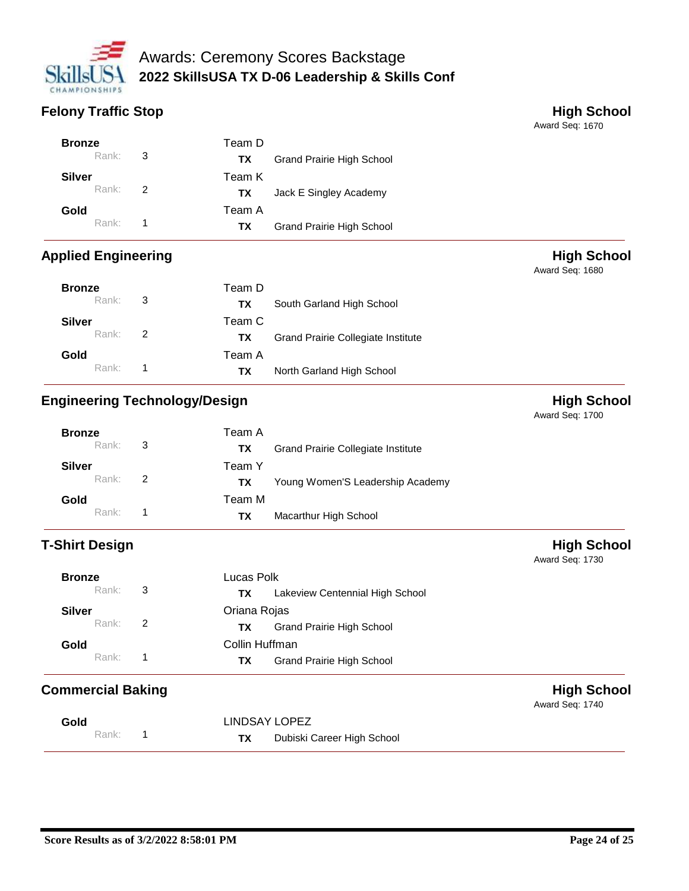

# **Felony Traffic Stop High School**

Award Seq: 1670

Award Seq: 1680

| <b>Bronze</b> |       |    | Team D    |                           |
|---------------|-------|----|-----------|---------------------------|
|               | Rank: | 3  | ТX        | Grand Prairie High School |
| <b>Silver</b> |       |    | Team K    |                           |
|               | Rank: | -2 | ТX        | Jack E Singley Academy    |
| Gold          |       |    | Team A    |                           |
|               | Rank: | 1  | <b>TX</b> | Grand Prairie High School |

# **Applied Engineering High School Applied Engineering**

| <b>Bronze</b> | Rank: 3           |   | Team D<br>TX. | South Garland High School          |
|---------------|-------------------|---|---------------|------------------------------------|
| <b>Silver</b> | Rank: 2           |   | Team C<br>TX. | Grand Prairie Collegiate Institute |
| Gold          | Rank <sup>.</sup> | 1 | Team A<br>TX. | North Garland High School          |

# **Engineering Technology/Design Manufacture 10 and 10 and 10 and 10 and 10 and 10 and 10 and 10 and 10 and 10 and 10 and 10 and 10 and 10 and 10 and 10 and 10 and 10 and 10 and 10 and 10 and 10 and 10 and 10 and 10 and 10**

Award Seq: 1700

Award Seq: 1730

Award Seq: 1740

| <b>Bronze</b><br>Rank:                | $\overline{\phantom{a}}$ 3 | Team A<br><b>Grand Prairie Collegiate Institute</b><br>ТX |
|---------------------------------------|----------------------------|-----------------------------------------------------------|
| <b>Silver</b><br>Rank: $\overline{2}$ |                            | Team Y                                                    |
| Gold                                  |                            | Young Women'S Leadership Academy<br>ТX<br>Team M          |
| Rank <sup>+</sup>                     | 1                          | Macarthur High School<br>ТΧ                               |

# **T-Shirt Design Contract of the Contract of the Contract of the Contract of the Contract of the Contract of the Contract of the Contract of the Contract of the Contract of the Contract of the Contract of the Contract of th**

| <b>Bronze</b> |   | Lucas Polk                            |  |
|---------------|---|---------------------------------------|--|
| Rank:         | 3 | Lakeview Centennial High School<br>ΤХ |  |
| <b>Silver</b> |   | Oriana Rojas                          |  |
| Rank:         | 2 | Grand Prairie High School<br>ΤХ       |  |
| Gold          |   | Collin Huffman                        |  |
| Rank:         |   | Grand Prairie High School<br>ΤХ       |  |

# **Commercial Baking Commercial Baking Commercial Baking Commercial Baking Commercial Baking Commercial Baking Commercial Baking Commercial Baking Commercial Baking Commercial Baking Commercial Baking Commercial Baking Comme**

| Gold |       | LINDSAY LOPEZ |                            |
|------|-------|---------------|----------------------------|
|      | Rank: | ТX            | Dubiski Career High School |